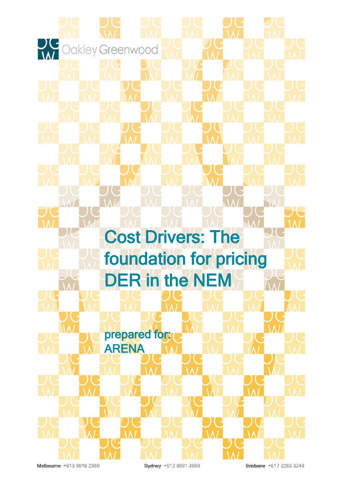

Melbourne +613 9016 2550

Sydney +612 8091 3650

Brisbane +617 3283 3249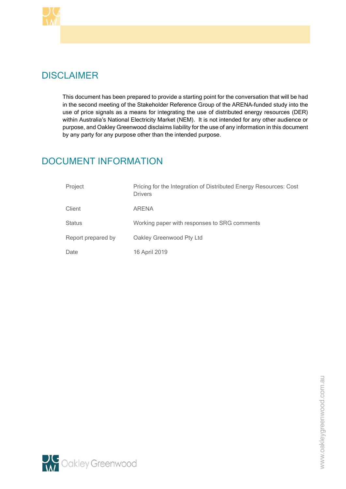

# **DISCLAIMER**

This document has been prepared to provide a starting point for the conversation that will be had in the second meeting of the Stakeholder Reference Group of the ARENA-funded study into the use of price signals as a means for integrating the use of distributed energy resources (DER) within Australia's National Electricity Market (NEM). It is not intended for any other audience or purpose, and Oakley Greenwood disclaims liability for the use of any information in this document by any party for any purpose other than the intended purpose.

# DOCUMENT INFORMATION

| Project            | Pricing for the Integration of Distributed Energy Resources: Cost<br><b>Drivers</b> |
|--------------------|-------------------------------------------------------------------------------------|
| Client             | <b>ARENA</b>                                                                        |
| <b>Status</b>      | Working paper with responses to SRG comments                                        |
| Report prepared by | Oakley Greenwood Pty Ltd                                                            |
| Date               | 16 April 2019                                                                       |

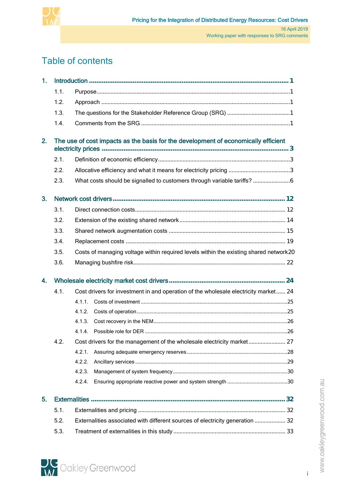

# Table of contents

| 1. |      |                                                                                       |                                                                                     |    |  |
|----|------|---------------------------------------------------------------------------------------|-------------------------------------------------------------------------------------|----|--|
|    | 1.1. |                                                                                       |                                                                                     |    |  |
|    | 1.2. |                                                                                       |                                                                                     |    |  |
|    | 1.3. |                                                                                       |                                                                                     |    |  |
|    | 1.4. |                                                                                       |                                                                                     |    |  |
| 2. |      |                                                                                       | The use of cost impacts as the basis for the development of economically efficient  |    |  |
|    | 2.1. |                                                                                       |                                                                                     |    |  |
|    | 2.2. |                                                                                       |                                                                                     |    |  |
|    | 2.3. |                                                                                       |                                                                                     |    |  |
| 3. |      |                                                                                       |                                                                                     |    |  |
|    | 3.1. |                                                                                       |                                                                                     |    |  |
|    | 3.2. |                                                                                       |                                                                                     |    |  |
|    | 3.3. |                                                                                       |                                                                                     |    |  |
|    | 3.4. |                                                                                       |                                                                                     |    |  |
|    | 3.5. | Costs of managing voltage within required levels within the existing shared network20 |                                                                                     |    |  |
|    | 3.6. |                                                                                       |                                                                                     |    |  |
| 4. |      |                                                                                       |                                                                                     |    |  |
|    | 4.1. |                                                                                       | Cost drivers for investment in and operation of the wholesale electricity market 24 |    |  |
|    |      | 4.1.1.                                                                                |                                                                                     |    |  |
|    |      | 4.1.2                                                                                 |                                                                                     |    |  |
|    |      | 4.1.3.                                                                                |                                                                                     |    |  |
|    |      |                                                                                       | 4.1.4 Possible role for DFR                                                         | 26 |  |
|    | 4.2. |                                                                                       |                                                                                     |    |  |
|    |      | 4.2.1                                                                                 |                                                                                     |    |  |
|    |      | 4.2.2.                                                                                |                                                                                     |    |  |
|    |      | 4.2.3.                                                                                |                                                                                     |    |  |
|    |      | 4.2.4.                                                                                |                                                                                     |    |  |
| 5. |      |                                                                                       |                                                                                     |    |  |
|    | 5.1. |                                                                                       |                                                                                     |    |  |
|    | 5.2. | Externalities associated with different sources of electricity generation  32         |                                                                                     |    |  |
|    | 5.3. |                                                                                       |                                                                                     |    |  |



i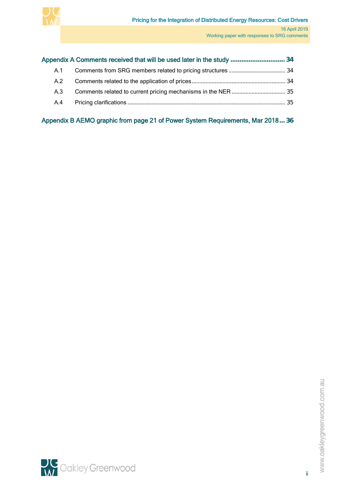

|     | Appendix A Comments received that will be used later in the study  34 |  |
|-----|-----------------------------------------------------------------------|--|
| A.1 |                                                                       |  |
| A.2 |                                                                       |  |
| A.3 |                                                                       |  |
| A.4 |                                                                       |  |
|     |                                                                       |  |

[Appendix B AEMO graphic from page 21 of Power System Requirements, Mar 2018](#page-39-0)**... 36**

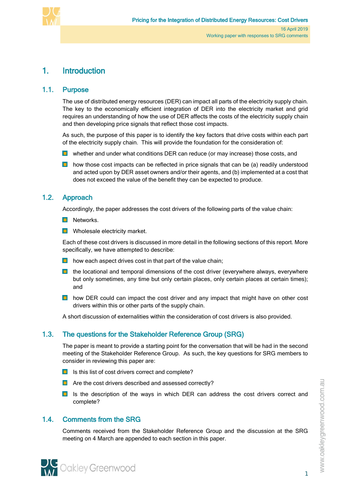

# <span id="page-4-0"></span>1. Introduction

## 1.1. Purpose

<span id="page-4-1"></span>The use of distributed energy resources (DER) can impact all parts of the electricity supply chain. The key to the economically efficient integration of DER into the electricity market and grid requires an understanding of how the use of DER affects the costs of the electricity supply chain and then developing price signals that reflect those cost impacts.

As such, the purpose of this paper is to identify the key factors that drive costs within each part of the electricity supply chain. This will provide the foundation for the consideration of:

- **D** whether and under what conditions DER can reduce (or may increase) those costs, and
- $\Box$  how those cost impacts can be reflected in price signals that can be (a) readily understood and acted upon by DER asset owners and/or their agents, and (b) implemented at a cost that does not exceed the value of the benefit they can be expected to produce.

# 1.2. Approach

<span id="page-4-2"></span>Accordingly, the paper addresses the cost drivers of the following parts of the value chain:

- **Networks.**
- **Nolesale electricity market.**

Each of these cost drivers is discussed in more detail in the following sections of this report. More specifically, we have attempted to describe:

- $\blacksquare$  how each aspect drives cost in that part of the value chain;
- $\blacksquare$  the locational and temporal dimensions of the cost driver (everywhere always, everywhere but only sometimes, any time but only certain places, only certain places at certain times); and
- $\Box$  how DER could can impact the cost driver and any impact that might have on other cost drivers within this or other parts of the supply chain.

<span id="page-4-3"></span>A short discussion of externalities within the consideration of cost drivers is also provided.

# 1.3. The questions for the Stakeholder Reference Group (SRG)

The paper is meant to provide a starting point for the conversation that will be had in the second meeting of the Stakeholder Reference Group. As such, the key questions for SRG members to consider in reviewing this paper are:

- $\Box$  Is this list of cost drivers correct and complete?
- $\Box$  Are the cost drivers described and assessed correctly?
- <span id="page-4-4"></span>**Is** the description of the ways in which DER can address the cost drivers correct and complete?

# 1.4. Comments from the SRG

Comments received from the Stakeholder Reference Group and the discussion at the SRG meeting on 4 March are appended to each section in this paper.

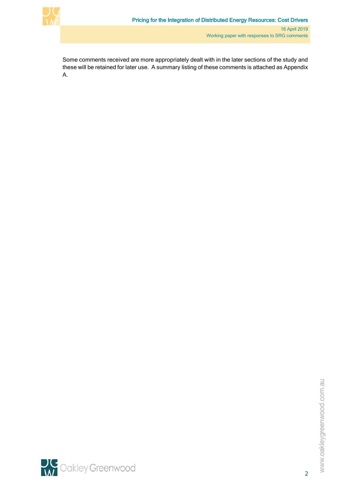

Some comments received are more appropriately dealt with in the later sections of the study and these will be retained for later use. A summary listing of these comments is attached a[s Appendix](#page-37-0)  [A.](#page-37-0)

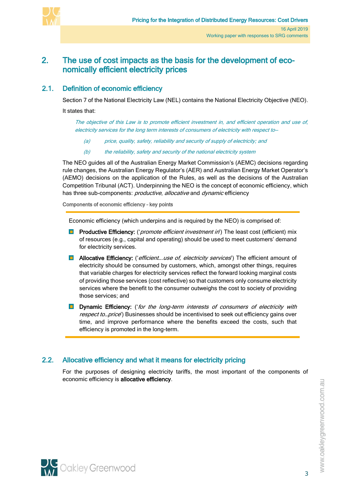

# <span id="page-6-0"></span>2. The use of cost impacts as the basis for the development of economically efficient electricity prices

# 2.1. Definition of economic efficiency

<span id="page-6-1"></span>Section 7 of the National Electricity Law (NEL) contains the National Electricity Objective (NEO).

It states that:

The objective of this Law is to promote efficient investment in, and efficient operation and use of, electricity services for the long term interests of consumers of electricity with respect to—

- (a) price, quality, safety, reliability and security of supply of electricity; and
- (b) the reliability, safety and security of the national electricity system

The NEO guides all of the Australian Energy Market Commission's (AEMC) decisions regarding rule changes, the Australian Energy Regulator's (AER) and Australian Energy Market Operator's (AEMO) decisions on the application of the Rules, as well as the decisions of the Australian Competition Tribunal (ACT). Underpinning the NEO is the concept of economic efficiency, which has three sub-components: productive, allocative and dynamic efficiency

Components of economic efficiency – key points

Economic efficiency (which underpins and is required by the NEO) is comprised of:

- **Productive Efficiency:** ('*promote efficient investment in*') The least cost (efficient) mix of resources (e.g., capital and operating) should be used to meet customers' demand for electricity services.
- **Allocative Efficiency:** ('*efficient... use of, electricity services*') The efficient amount of electricity should be consumed by customers, which, amongst other things, requires that variable charges for electricity services reflect the forward looking marginal costs of providing those services (cost reflective) so that customers only consume electricity services where the benefit to the consumer outweighs the cost to society of providing those services; and
- **Dynamic Efficiency:** ('for the long-term interests of consumers of electricity with respect to... price') Businesses should be incentivised to seek out efficiency gains over time, and improve performance where the benefits exceed the costs, such that efficiency is promoted in the long-term.

# <span id="page-6-2"></span>2.2. Allocative efficiency and what it means for electricity pricing

For the purposes of designing electricity tariffs, the most important of the components of economic efficiency is allocative efficiency.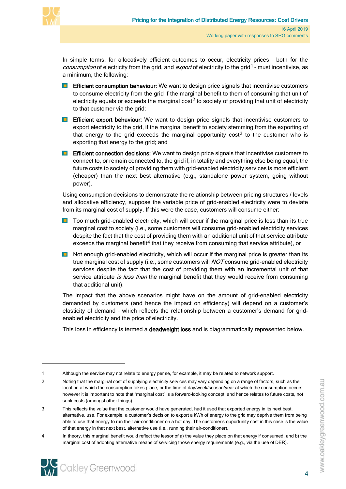

 $\overline{a}$ 

In simple terms, for allocatively efficient outcomes to occur, electricity prices – both for the consumption of electricity from the grid, and export of electricity to the grid<sup>[1](#page-7-0)</sup> - must incentivise, as a minimum, the following:

- **Efficient consumption behaviour:** We want to design price signals that incentivise customers to consume electricity from the grid if the marginal benefit to them of consuming that unit of electricity equals or exceeds the marginal  $cost<sup>2</sup>$  $cost<sup>2</sup>$  $cost<sup>2</sup>$  to society of providing that unit of electricity to that customer via the grid;
- **Efficient export behaviour:** We want to design price signals that incentivise customers to export electricity to the grid, if the marginal benefit to society stemming from the exporting of that energy to the grid exceeds the marginal opportunity  $\cos<sup>3</sup>$  $\cos<sup>3</sup>$  $\cos<sup>3</sup>$  to the customer who is exporting that energy to the grid; and
- **Efficient connection decisions:** We want to design price signals that incentivise customers to connect to, or remain connected to, the grid if, in totality and everything else being equal, the future costs to society of providing them with grid-enabled electricity services is more efficient (cheaper) than the next best alternative (e.g., standalone power system, going without power).

Using consumption decisions to demonstrate the relationship between pricing structures / levels and allocative efficiency, suppose the variable price of grid-enabled electricity were to deviate from its marginal cost of supply. If this were the case, customers will consume either:

- **T** Too much grid-enabled electricity, which will occur if the marginal price is less than its true marginal cost to society (i.e., some customers will consume grid-enabled electricity services despite the fact that the cost of providing them with an additional unit of that service attribute exceeds the marginal benefit<sup>[4](#page-7-3)</sup> that they receive from consuming that service attribute), or
- $\Box$  Not enough grid-enabled electricity, which will occur if the marginal price is greater than its true marginal cost of supply (i.e., some customers will *NOT* consume grid-enabled electricity services despite the fact that the cost of providing them with an incremental unit of that service attribute is less than the marginal benefit that they would receive from consuming that additional unit).

The impact that the above scenarios might have on the amount of grid-enabled electricity demanded by customers (and hence the impact on efficiency) will depend on a customer's elasticity of demand – which reflects the relationship between a customer's demand for gridenabled electricity and the price of electricity.

This loss in efficiency is termed a **deadweight loss** and is diagrammatically represented below.

<span id="page-7-0"></span><sup>1</sup> Although the service may not relate to energy per se, for example, it may be related to network support.

<span id="page-7-1"></span><sup>2</sup> Noting that the marginal cost of supplying electricity services may vary depending on a range of factors, such as the location at which the consumption takes place, or the time of day/week/season/year at which the consumption occurs, however it is important to note that "marginal cost" is a forward-looking concept, and hence relates to future costs, not sunk costs (amongst other things).

<span id="page-7-2"></span><sup>3</sup> This reflects the value that the customer would have generated, had it used that exported energy in its next best, alternative, use. For example, a customer's decision to export a kWh of energy to the grid may deprive them from being able to use that energy to run their air-conditioner on a hot day. The customer's opportunity cost in this case is the value of that energy in that next best, alternative use (i.e., running their air-conditioner).

<span id="page-7-3"></span><sup>4</sup> In theory, this marginal benefit would reflect the lessor of a) the value they place on that energy if consumed, and b) the marginal cost of adopting alternative means of servicing those energy requirements (e.g., via the use of DER).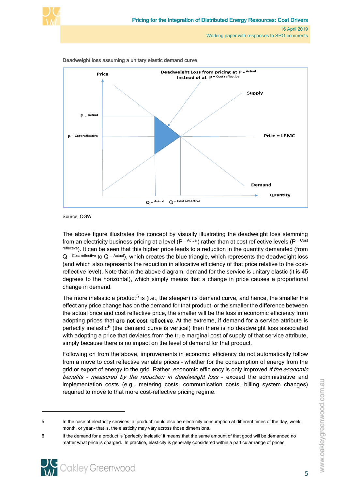





Source: OGW

The above figure illustrates the concept by visually illustrating the deadweight loss stemming from an electricity business pricing at a level (P - Actual) rather than at cost reflective levels (P - Cost reflective). It can be seen that this higher price leads to a reduction in the quantity demanded (from Q - Cost reflective to Q - Actual), which creates the blue triangle, which represents the deadweight loss (and which also represents the reduction in allocative efficiency of that price relative to the costreflective level). Note that in the above diagram, demand for the service is unitary elastic (it is 45 degrees to the horizontal), which simply means that a change in price causes a proportional change in demand.

The more inelastic a product<sup>[5](#page-8-0)</sup> is (i.e., the steeper) its demand curve, and hence, the smaller the effect any price change has on the demand for that product, or the smaller the difference between the actual price and cost reflective price, the smaller will be the loss in economic efficiency from adopting prices that are not cost reflective. At the extreme, if demand for a service attribute is perfectly inelastic $6$  (the demand curve is vertical) then there is no deadweight loss associated with adopting a price that deviates from the true marginal cost of supply of that service attribute, simply because there is no impact on the level of demand for that product.

Following on from the above, improvements in economic efficiency do not automatically follow from a move to cost reflective variable prices – whether for the consumption of energy from the grid or export of energy to the grid. Rather, economic efficiency is only improved *if the economic* benefits - measured by the reduction in deadweight loss - exceed the administrative and implementation costs (e.g., metering costs, communication costs, billing system changes) required to move to that more cost-reflective pricing regime.

<span id="page-8-1"></span><span id="page-8-0"></span><sup>6</sup> If the demand for a product is 'perfectly inelastic' it means that the same amount of that good will be demanded no matter what price is charged. In practice, elasticity is generally considered within a particular range of prices.



<sup>5</sup> In the case of electricity services, a 'product' could also be electricity consumption at different times of the day, week, month, or year – that is, the elasticity may vary across those dimensions.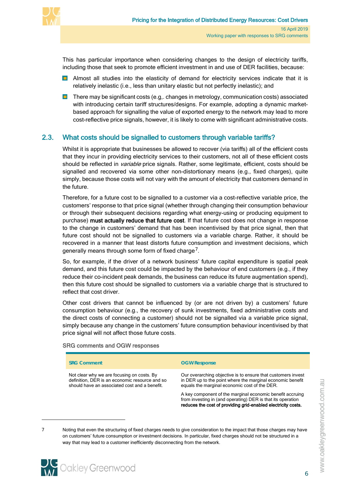

This has particular importance when considering changes to the design of electricity tariffs, including those that seek to promote efficient investment in and use of DER facilities, because:

- **D** Almost all studies into the elasticity of demand for electricity services indicate that it is relatively inelastic (i.e., less than unitary elastic but not perfectly inelastic); and
- $\blacksquare$  There may be significant costs (e.g., changes in metrology, communication costs) associated with introducing certain tariff structures/designs. For example, adopting a dynamic marketbased approach for signalling the value of exported energy to the network may lead to more cost-reflective price signals, however, it is likely to come with significant administrative costs.

## 2.3. What costs should be signalled to customers through variable tariffs?

<span id="page-9-0"></span>Whilst it is appropriate that businesses be allowed to recover (via tariffs) all of the efficient costs that they incur in providing electricity services to their customers, not all of these efficient costs should be reflected in *variable* price signals. Rather, some legitimate, efficient, costs should be signalled and recovered via some other non-distortionary means (e.g., fixed charges), quite simply, because those costs will not vary with the amount of electricity that customers demand in the future.

Therefore, for a future cost to be signalled to a customer via a cost-reflective variable price, the customers' response to that price signal (whether through changing their consumption behaviour or through their subsequent decisions regarding what energy-using or producing equipment to purchase) must actually reduce that future cost. If that future cost does not change in response to the change in customers' demand that has been incentivised by that price signal, then that future cost should not be signalled to customers via a variable charge. Rather, it should be recovered in a manner that least distorts future consumption and investment decisions, which generally means through some form of fixed charge<sup>[7](#page-9-1)</sup>.

So, for example, if the driver of a network business' future capital expenditure is spatial peak demand, and this future cost could be impacted by the behaviour of end customers (e.g., if they reduce their co-incident peak demands, the business can reduce its future augmentation spend), then this future cost should be signalled to customers via a variable charge that is structured to reflect that cost driver.

Other cost drivers that cannot be influenced by (or are not driven by) a customers' future consumption behaviour (e.g., the recovery of sunk investments, fixed administrative costs and the direct costs of connecting a customer) should not be signalled via a variable price signal, simply because any change in the customers' future consumption behaviour incentivised by that price signal will not affect those future costs.

#### SRG comments and OGW responses

| <b>SRG Comment</b>                                                                                                                            | <b>OGW Response</b>                                                                                                                                                                       |
|-----------------------------------------------------------------------------------------------------------------------------------------------|-------------------------------------------------------------------------------------------------------------------------------------------------------------------------------------------|
| Not clear why we are focusing on costs. By<br>definition, DER is an economic resource and so<br>should have an associated cost and a benefit. | Our overarching objective is to ensure that customers invest<br>in DER up to the point where the marginal economic benefit<br>equals the marginal economic cost of the DER.               |
|                                                                                                                                               | A key component of the marginal economic benefit accruing<br>from investing in (and operating) DER is that its operation<br>reduces the cost of providing grid-enabled electricity costs. |

 $\overline{a}$ 

<span id="page-9-1"></span><sup>7</sup> Noting that even the structuring of fixed charges needs to give consideration to the impact that those charges may have on customers' future consumption or investment decisions. In particular, fixed charges should not be structured in a way that may lead to a customer inefficiently disconnecting from the network.



www.oakleygreenwood.com.au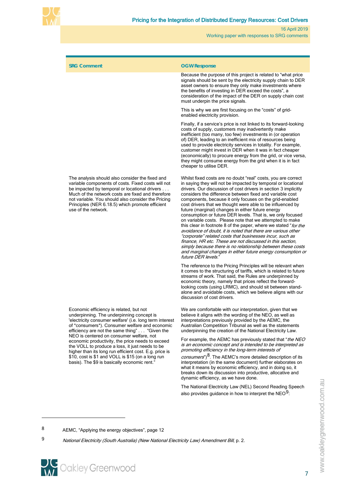

| <b>SRG Comment</b>                                                                                                                                                                                                                                                                                                                                                                                                                                                                                                                                                   | <b>OGW Response</b><br>Because the purpose of this project is related to "what price"                                                                                                                                                                                                                                                                                                                                                                                                                                                                                                                                                                                                                                                                                                                                                                                                                                                                                                  |
|----------------------------------------------------------------------------------------------------------------------------------------------------------------------------------------------------------------------------------------------------------------------------------------------------------------------------------------------------------------------------------------------------------------------------------------------------------------------------------------------------------------------------------------------------------------------|----------------------------------------------------------------------------------------------------------------------------------------------------------------------------------------------------------------------------------------------------------------------------------------------------------------------------------------------------------------------------------------------------------------------------------------------------------------------------------------------------------------------------------------------------------------------------------------------------------------------------------------------------------------------------------------------------------------------------------------------------------------------------------------------------------------------------------------------------------------------------------------------------------------------------------------------------------------------------------------|
|                                                                                                                                                                                                                                                                                                                                                                                                                                                                                                                                                                      | signals should be sent by the electricity supply chain to DER<br>asset owners to ensure they only make investments where<br>the benefits of investing in DER exceed the costs", a<br>consideration of the impact of the DER on supply chain cost<br>must underpin the price signals.                                                                                                                                                                                                                                                                                                                                                                                                                                                                                                                                                                                                                                                                                                   |
|                                                                                                                                                                                                                                                                                                                                                                                                                                                                                                                                                                      | This is why we are first focusing on the "costs" of grid-<br>enabled electricity provision.                                                                                                                                                                                                                                                                                                                                                                                                                                                                                                                                                                                                                                                                                                                                                                                                                                                                                            |
|                                                                                                                                                                                                                                                                                                                                                                                                                                                                                                                                                                      | Finally, if a service's price is not linked to its forward-looking<br>costs of supply, customers may inadvertently make<br>inefficient (too many, too few) investments in (or operation<br>of) DER, leading to an inefficient mix of resources being<br>used to provide electricity services in totality. For example,<br>customer might invest in DER when it was in fact cheaper<br>(economically) to procure energy from the grid, or vice versa,<br>they might consume energy from the grid when it is in fact<br>cheaper to utilise DER.                                                                                                                                                                                                                                                                                                                                                                                                                                          |
| The analysis should also consider the fixed and<br>variable components of costs. Fixed costs will not<br>be impacted by temporal or locational drivers<br>Much of the network costs are fixed and therefore<br>not variable. You should also consider the Pricing<br>Principles (NER 6.18.5) which promote efficient<br>use of the network.                                                                                                                                                                                                                          | Whilst fixed costs are no doubt "real" costs, you are correct<br>in saying they will not be impacted by temporal or locational<br>drivers. Our discussion of cost drivers in section 3 implicitly<br>considers the difference between fixed and variable cost<br>components, because it only focuses on the grid-enabled<br>cost drivers that we thought were able to be influenced by<br>future (marginal) changes in either future energy<br>consumption or future DER levels. That is, we only focused<br>on variable costs. Please note that we attempted to make<br>this clear in footnote 8 of the paper, where we stated "for the<br>avoidance of doubt, it is noted that there are various other<br>"corporate" related costs that businesses incur, such as<br>finance. HR etc. These are not discussed in this section.<br>simply because there is no relationship between these costs<br>and marginal changes in either future energy consumption or<br>future DER levels." |
|                                                                                                                                                                                                                                                                                                                                                                                                                                                                                                                                                                      | The reference to the Pricing Principles will be relevant when<br>it comes to the structuring of tariffs, which is related to future<br>streams of work. That said, the Rules are underpinned by<br>economic theory, namely that prices reflect the forward-<br>looking costs (using LRMC), and should sit between stand-<br>alone and avoidable costs, which we believe aligns with our<br>discussion of cost drivers.                                                                                                                                                                                                                                                                                                                                                                                                                                                                                                                                                                 |
| Economic efficiency is related, but not<br>underpinning. The underpinning concept is<br>'electricity consumer welfare' (i.e. long term interest<br>of *consumers*). Consumer welfare and economic<br>efficiency are not the same thing" "Given the<br>NEO is centered on consumer welfare, not<br>economic productivity, the price needs to exceed<br>the VOLL to produce a loss, it just needs to be<br>higher than its long run efficient cost. E.g. price is<br>\$10, cost is \$1 and VOLL is \$15 (on a long run<br>basis). The \$9 is basically economic rent." | We are comfortable with our interpretation, given that we<br>believe it aligns with the wording of the NEO, as well as<br>interpretations previously provided by the AEMC, the<br>Australian Competition Tribunal as well as the statements<br>underpinning the creation of the National Electricity Law.                                                                                                                                                                                                                                                                                                                                                                                                                                                                                                                                                                                                                                                                              |
|                                                                                                                                                                                                                                                                                                                                                                                                                                                                                                                                                                      | For example, the AEMC has previously stated that " <i>the NEO</i><br>is an economic concept and is intended to be interpreted as<br>promoting efficiency in the long-term interests of<br>consumers") <sup>8</sup> . The AEMC's more detailed description of its<br>interpretation (in the same document) further elaborates on<br>what it means by economic efficiency, and in doing so, it<br>breaks down its discussion into productive, allocative and                                                                                                                                                                                                                                                                                                                                                                                                                                                                                                                             |
|                                                                                                                                                                                                                                                                                                                                                                                                                                                                                                                                                                      | dynamic efficiency, as we have done.                                                                                                                                                                                                                                                                                                                                                                                                                                                                                                                                                                                                                                                                                                                                                                                                                                                                                                                                                   |
|                                                                                                                                                                                                                                                                                                                                                                                                                                                                                                                                                                      | The National Electricity Law (NEL) Second Reading Speech                                                                                                                                                                                                                                                                                                                                                                                                                                                                                                                                                                                                                                                                                                                                                                                                                                                                                                                               |

<span id="page-10-0"></span>8 AEMC, "Applying the energy objectives", page 12

<span id="page-10-1"></span>9 National Electricity (South Australia) (New National Electricity Law) Amendment Bill, p. 2.

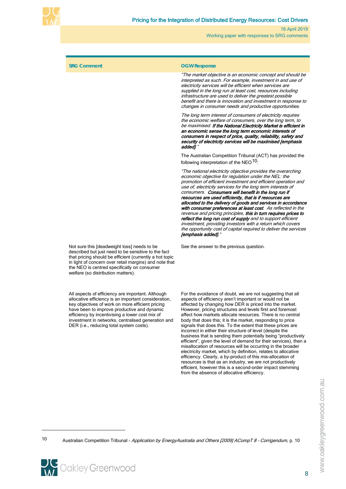

#### **SRG Comment OGW Response**

"The market objective is an economic concept and should be interpreted as such. For example, investment in and use of electricity services will be efficient when services are supplied in the long run at least cost, resources including infrastructure are used to deliver the greatest possible benefit and there is innovation and investment in response to changes in consumer needs and productive opportunities.

The long term interest of consumers of electricity requires the economic welfare of consumers, over the long term, to be maximised. If the National Electricity Market is efficient in an economic sense the long term economic interests of consumers in respect of price, quality, reliability, safety and security of electricity services will be maximised [emphasis added].

The Australian Competition Tribunal (ACT) has provided the following interpretation of the NEO $10$ :

"The national electricity objective provides the overarching economic objective for regulation under the NEL: the promotion of efficient investment and efficient operation and use of, electricity services for the long term interests of consumers. Consumers will benefit in the long run if resources are used efficiently, that is if resources are allocated to the delivery of goods and services in accordance with consumer preferences at least cost. As reflected in the revenue and pricing principles, this in turn requires prices to reflect the long run cost of supply and to support efficient investment, providing investors with a return which covers the opportunity cost of capital required to deliver the services [emphasis added]."

See the answer to the previous question.

Not sure this [deadweight loss] needs to be described but just need to be sensitive to the fact that pricing should be efficient (currently a hot topic in light of concern over retail margins) and note that the NEO is centred specifically on consumer welfare (so distribution matters).

All aspects of efficiency are important. Although allocative efficiency is an important consideration, key objectives of work on more efficient pricing have been to improve productive and dynamic efficiency by incentivising a lower cost mix of investment in networks, centralised generation and DER (i.e., reducing total system costs).

For the avoidance of doubt, we are not suggesting that all aspects of efficiency aren't important or would not be affected by changing how DER is priced into the market. However, pricing structures and levels first and foremost affect how markets allocate resources. There is no central body that does this; it is the market, responding to price signals that does this. To the extent that these prices are incorrect in either their structure of level (despite the business that is sending them potentially being "productively efficient", given the level of demand for their services), then a misallocation of resources will be occurring in the broader electricity market, which by definition, relates to allocative efficiency. Clearly, a by-product of this mis-allocation of resources is that as an industry, we are not productively efficient, however this is a second-order impact stemming from the absence of allocative efficiency.

<span id="page-11-0"></span>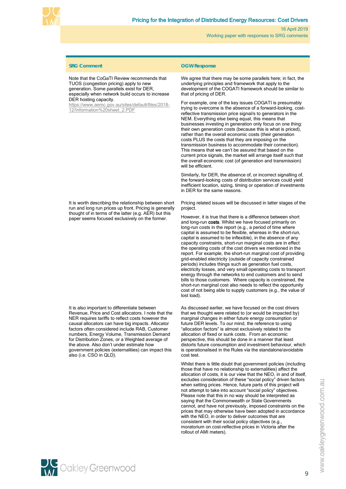

Note that the CoGaTI Review recommends that TUOS (congestion pricing) apply to new generation. Some parallels exist for DER, especially when network build occurs to increase DER hosting capacity.

[https://www.aemc.gov.au/sites/default/files/2018-](https://www.aemc.gov.au/sites/default/files/2018-12/Information%20sheet_2.PDF) [12/Information%20sheet\\_2.PDF](https://www.aemc.gov.au/sites/default/files/2018-12/Information%20sheet_2.PDF)

It is worth describing the relationship between short run and long run prices up front. Pricing is generally thought of in terms of the latter (e.g. AER) but this paper seems focused exclusively on the former.

It is also important to differentiate between Revenue, Price and Cost allocators. I note that the NER requires tariffs to reflect costs however the causal allocators can have big impacts. Allocator factors often considered include RAB, Customer numbers, Energy Volume, Transmission Demand for Distribution Zones, or a Weighted average of the above. Also don't under estimate how government policies (externalities) can impact this also (i.e. CSO in QLD).

#### **SRG Comment OGW Response**

We agree that there may be some parallels here; in fact, the underlying principles and framework that apply to the development of the COGATI framework should be similar to that of pricing of DER.

For example, one of the key issues COGATI is presumably trying to overcome is the absence of a forward-looking, costreflective transmission price signal/s to generators in the NEM. Everything else being equal, this means that businesses investing in generation only focus on one thing: their own generation costs (because this is what is priced), rather than the overall economic costs (their generation costs PLUS the costs that they are imposing on the transmission business to accommodate their connection). This means that we can't be assured that based on the current price signals, the market will arrange itself such that the overall economic cost (of generation and transmission) will be efficient

Similarly, for DER, the absence of, or incorrect signalling of, the forward-looking costs of distribution services could yield inefficient location, sizing, timing or operation of investments in DER for the same reasons.

Pricing related issues will be discussed in latter stages of the project.

However, it is true that there is a difference between short and long-run costs. Whilst we have focused primarily on long-run costs in the report (e.g., a period of time where capital is assumed to be flexible, whereas in the short-run, capital is assumed to be inflexible), in the absence of any capacity constraints, short-run marginal costs are in effect the operating costs of the cost drivers we mentioned in the report. For example, the short-run marginal cost of providing grid-enabled electricity (outside of capacity constrained periods) includes things such as generation fuel costs, electricity losses, and very small operating costs to transport energy through the networks to end customers and to send bills to those customers. Where capacity is constrained, the short-run marginal cost also needs to reflect the opportunity cost of not being able to supply customers (e.g., the value of lost load).

As discussed earlier, we have focused on the cost drivers that we thought were related to (or would be impacted by) marginal changes in either future energy consumption or future DER levels. To our mind, the reference to using "allocation factors" is almost exclusively related to the allocation of fixed or sunk costs. From an economic perspective, this should be done in a manner that least distorts future consumption and investment behaviour, which is operationalised in the Rules via the standalone/avoidable cost test.

Whilst there is little doubt that government policies (including those that have no relationship to externalities) affect the allocation of costs, it is our view that the NEO, in and of itself, excludes consideration of these "social policy" driven factors when setting prices. Hence, future parts of this project will not attempt to take into account "social policy" objectives. Please note that this in no way should be interpreted as saying that the Commonwealth or State Governments cannot, and have not previously, imposed constraints on the prices that may otherwise have been adopted in accordance with the NEO, in order to deliver outcomes that are consistent with their social policy objectives (e.g., moratorium on cost-reflective prices in Victoria after the rollout of AMI meters).

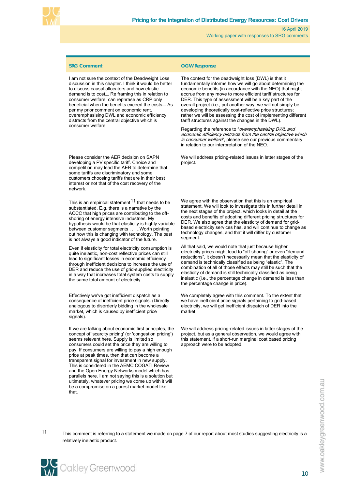

I am not sure the context of the Deadweight Loss discussion in this chapter. I think it would be better to discuss causal allocators and how elastic demand is to cost…. Re framing this in relation to consumer welfare, can rephrase as CRP only beneficial when the benefits exceed the costs…. As per my prior comment on economic rent, overemphasising DWL and economic efficiency distracts from the central objective which is consumer welfare.

Please consider the AER decision on SAPN developing a PV specific tariff. Choice and competition may lead the AER to determine that some tariffs are discriminatory and some customers choosing tariffs that are in their best interest or not that of the cost recovery of the network.

This is an empirical statement  $11$  that needs to be substantiated. E.g. there is a narrative by the ACCC that high prices are contributing to the offshoring of energy intensive industries. My hypothesis would be that elasticity is highly variable between customer segments . . . ..Worth pointing out how this is changing with technology. The past is not always a good indicator of the future.

Even if elasticity for total electricity consumption is quite inelastic, non-cost reflective prices can still lead to significant losses in economic efficiency through inefficient decisions to increase the use of DER and reduce the use of grid-supplied electricity in a way that increases total system costs to supply the same total amount of electricity.

Effectively we've got inefficient dispatch as a consequence of inefficient price signals. (Directly analogous to disorderly bidding in the wholesale market, which is caused by inefficient price signals).

If we are talking about economic first principles, the concept of 'scarcity pricing' (or 'congestion pricing') seems relevant here. Supply is limited so consumers could set the price they are willing to pay. If consumers are willing to pay a high enough price at peak times, then that can become a transparent signal for investment in new supply. This is considered in the AEMC COGATI Review and the Open Energy Networks model which has parallels here. I am not saying this is a solution but ultimately, whatever pricing we come up with it will be a compromise on a purest market model like that.

#### **SRG Comment OGW Response**

The context for the deadweight loss (DWL) is that it fundamentally informs how we will go about determining the economic benefits (in accordance with the NEO) that might accrue from any move to more efficient tariff structures for DER. This type of assessment will be a key part of the overall project (i.e., put another way, we will not simply be developing theoretically cost-reflective price structures; rather we will be assessing the cost of implementing different tariff structures against the changes in the DWL).

Regarding the reference to "overemphasising DWL and economic efficiency distracts from the central objective which is consumer welfare", please see our previous commentary in relation to our interpretation of the NEO.

We will address pricing-related issues in latter stages of the project.

We agree with the observation that this is an empirical statement. We will look to investigate this in further detail in the next stages of the project, which looks in detail at the costs and benefits of adopting different pricing structures for DER. We also agree that the elasticity of demand for gridbased electricity services has, and will continue to change as technology changes, and that it will differ by customer segment.

All that said, we would note that just because higher electricity prices might lead to "off-shoring" or even "demand reductions", it doesn't necessarily mean that the elasticity of demand is technically classified as being "elastic". The combination of all of those effects may still be such that the elasticity of demand is still technically classified as being inelastic (i.e., the percentage change in demand is less than the percentage change in price).

We completely agree with this comment. To the extent that we have inefficient price signals pertaining to grid-based electricity, we will get inefficient dispatch of DER into the market.

We will address pricing-related issues in latter stages of the project, but as a general observation, we would agree with this statement, if a short-run marginal cost based pricing approach were to be adopted.

www.oakleygreenwood.com.au

<span id="page-13-0"></span>11 This comment is referring to a statement we made on page 7 of our report about most studies suggesting electricity is a relatively inelastic product.

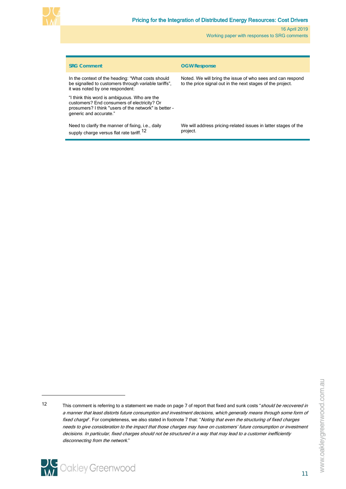

| <b>SRG Comment</b>                                                                                                                                                             | <b>OGW Response</b>                                                                                                      |
|--------------------------------------------------------------------------------------------------------------------------------------------------------------------------------|--------------------------------------------------------------------------------------------------------------------------|
| In the context of the heading: "What costs should<br>be signalled to customers through variable tariffs".<br>it was noted by one respondent:                                   | Noted. We will bring the issue of who sees and can respond<br>to the price signal out in the next stages of the project. |
| "I think this word is ambiguous. Who are the<br>customers? End consumers of electricity? Or<br>prosumers? I think "users of the network" is better -<br>generic and accurate." |                                                                                                                          |
| Need to clarify the manner of fixing, i.e., daily<br>supply charge versus flat rate tariff. <sup>12</sup>                                                                      | We will address pricing-related issues in latter stages of the<br>project.                                               |

<span id="page-14-0"></span><sup>12</sup> This comment is referring to a statement we made on page 7 of report that fixed and sunk costs "should be recovered in a manner that least distorts future consumption and investment decisions, which generally means through some form of fixed charge". For completeness, we also stated in footnote 7 that: "Noting that even the structuring of fixed charges needs to give consideration to the impact that those charges may have on customers' future consumption or investment decisions. In particular, fixed charges should not be structured in a way that may lead to a customer inefficiently disconnecting from the network."

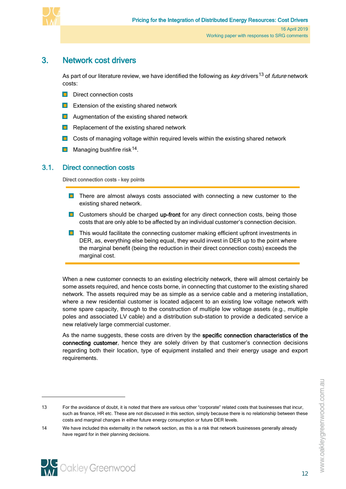

# 3. Network cost drivers

<span id="page-15-0"></span>As part of our literature review, we have identified the following as key drivers<sup>[13](#page-15-2)</sup> of *future* network costs:

- **Direct connection costs**
- **EXTER** Extension of the existing shared network
- **Augmentation of the existing shared network**
- $\blacksquare$  Replacement of the existing shared network
- **D** Costs of managing voltage within required levels within the existing shared network
- <span id="page-15-1"></span>**Managing bushfire risk**<sup>14</sup>.

# 3.1. Direct connection costs

Direct connection costs – key points

- **There are almost always costs associated with connecting a new customer to the** existing shared network.
- **Customers should be charged up-front for any direct connection costs, being those** costs that are only able to be affected by an individual customer's connection decision.
- **T** This would facilitate the connecting customer making efficient upfront investments in DER, as, everything else being equal, they would invest in DER up to the point where the marginal benefit (being the reduction in their direct connection costs) exceeds the marginal cost.

When a new customer connects to an existing electricity network, there will almost certainly be some assets required, and hence costs borne, in connecting that customer to the existing shared network. The assets required may be as simple as a service cable and a metering installation, where a new residential customer is located adjacent to an existing low voltage network with some spare capacity, through to the construction of multiple low voltage assets (e.g., multiple poles and associated LV cable) and a distribution sub-station to provide a dedicated service a new relatively large commercial customer.

As the name suggests, these costs are driven by the specific connection characteristics of the connecting customer, hence they are solely driven by that customer's connection decisions regarding both their location, type of equipment installed and their energy usage and export requirements.

<span id="page-15-2"></span><sup>13</sup> For the avoidance of doubt, it is noted that there are various other "corporate" related costs that businesses that incur, such as finance, HR etc. These are not discussed in this section, simply because there is no relationship between these costs and marginal changes in either future energy consumption or future DER levels.

<span id="page-15-3"></span><sup>14</sup> We have included this externality in the network section, as this is a risk that network businesses generally already have regard for in their planning decisions.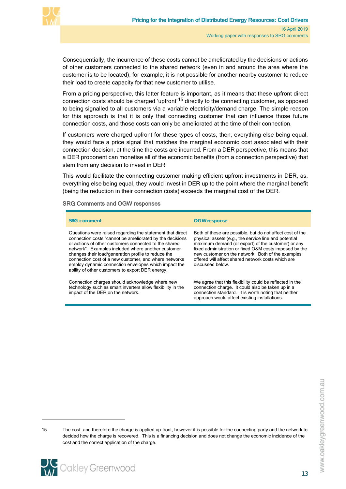

Consequentially, the incurrence of these costs cannot be ameliorated by the decisions or actions of other customers connected to the shared network (even in and around the area where the customer is to be located), for example, it is not possible for another nearby customer to reduce their load to create capacity for that new customer to utilise.

From a pricing perspective, this latter feature is important, as it means that these upfront direct connection costs should be charged 'upfront'[15](#page-16-0) directly to the connecting customer, as opposed to being signalled to all customers via a variable electricity/demand charge. The simple reason for this approach is that it is only that connecting customer that can influence those future connection costs, and those costs can only be ameliorated at the time of their connection.

If customers were charged upfront for these types of costs, then, everything else being equal, they would face a price signal that matches the marginal economic cost associated with their connection decision, at the time the costs are incurred. From a DER perspective, this means that a DER proponent can monetise all of the economic benefits (from a connection perspective) that stem from any decision to invest in DER.

This would facilitate the connecting customer making efficient upfront investments in DER, as, everything else being equal, they would invest in DER up to the point where the marginal benefit (being the reduction in their connection costs) exceeds the marginal cost of the DER.

#### SRG Comments and OGW responses

| <b>SRG comment</b>                                                                                                                                                                                                                                                                                                                                                                                                                                               | <b>OGW</b> response                                                                                                                                                                                                                                                                                                                                               |
|------------------------------------------------------------------------------------------------------------------------------------------------------------------------------------------------------------------------------------------------------------------------------------------------------------------------------------------------------------------------------------------------------------------------------------------------------------------|-------------------------------------------------------------------------------------------------------------------------------------------------------------------------------------------------------------------------------------------------------------------------------------------------------------------------------------------------------------------|
| Questions were raised regarding the statement that direct<br>connection costs "cannot be ameliorated by the decisions<br>or actions of other customers connected to the shared<br>network". Examples included where another customer<br>changes their load/generation profile to reduce the<br>connection cost of a new customer, and where networks<br>employ dynamic connection envelopes which impact the<br>ability of other customers to export DER energy. | Both of these are possible, but do not affect cost of the<br>physical assets (e.g., the service line and potential<br>maximum demand (or export) of the customer) or any<br>fixed administration or fixed O&M costs imposed by the<br>new customer on the network. Both of the examples<br>offered will affect shared network costs which are<br>discussed below. |
| Connection charges should acknowledge where new<br>technology such as smart inverters allow flexibility in the<br>impact of the DER on the network.                                                                                                                                                                                                                                                                                                              | We agree that this flexibility could be reflected in the<br>connection charge. It could also be taken up in a<br>connection standard. It is worth noting that neither<br>approach would affect existing installations.                                                                                                                                            |

<span id="page-16-0"></span><sup>15</sup> The cost, and therefore the charge is applied up-front, however it is possible for the connecting party and the network to decided how the charge is recovered. This is a financing decision and does not change the economic incidence of the cost and the correct application of the charge.



www.oakleygreenwood.com.au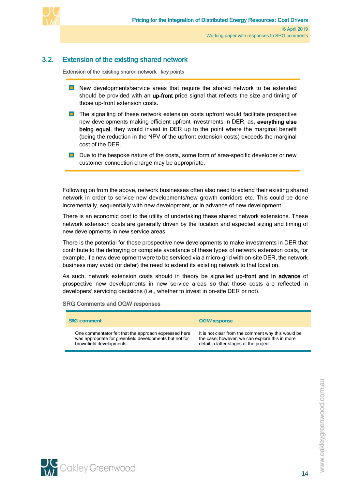

# 3.2. Extension of the existing shared network

<span id="page-17-0"></span>Extension of the existing shared network – key points

- **New developments/service areas that require the shared network to be extended** should be provided with an up-front price signal that reflects the size and timing of those up-front extension costs.
- **The signalling of these network extension costs upfront would facilitate prospective** new developments making efficient upfront investments in DER, as, everything else being equal, they would invest in DER up to the point where the marginal benefit (being the reduction in the NPV of the upfront extension costs) exceeds the marginal cost of the DER.
- D Due to the bespoke nature of the costs, some form of area-specific developer or new customer connection charge may be appropriate.

Following on from the above, network businesses often also need to extend their existing shared network in order to service new developments/new growth corridors etc. This could be done incrementally, sequentially with new development, or in advance of new development.

There is an economic cost to the utility of undertaking these shared network extensions. These network extension costs are generally driven by the location and expected sizing and timing of new developments in new service areas.

There is the potential for those prospective new developments to make investments in DER that contribute to the defraying or complete avoidance of these types of network extension costs, for example, if a new development were to be serviced via a micro-grid with on-site DER, the network business may avoid (or defer) the need to extend its existing network to that location.

As such, network extension costs should in theory be signalled up-front and in advance of prospective new developments in new service areas so that those costs are reflected in developers' servicing decisions (i.e., whether to invest in on-site DER or not).

SRG Comments and OGW responses

| <b>SRG comment</b>                                      | <b>OGW</b> response                                |
|---------------------------------------------------------|----------------------------------------------------|
| One commentator felt that the approach expressed here   | It is not clear from the comment why this would be |
| was appropriate for greenfield developments but not for | the case; however, we can explore this in more     |
| brownfield developments.                                | detail in latter stages of the project.            |

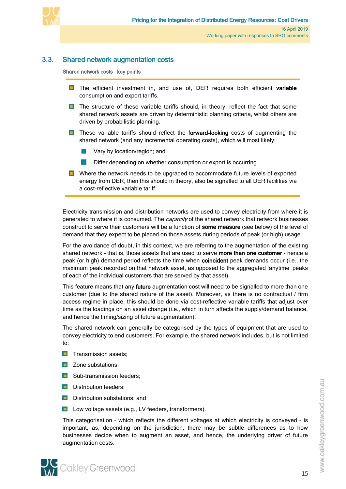

# 3.3. Shared network augmentation costs

<span id="page-18-0"></span>Shared network costs – key points

- **The efficient investment in, and use of, DER requires both efficient variable** consumption and export tariffs.
- **The structure of these variable tariffs should, in theory, reflect the fact that some** shared network assets are driven by deterministic planning criteria, whilst others are driven by probabilistic planning.
- **T** These variable tariffs should reflect the forward-looking costs of augmenting the shared network (and any incremental operating costs), which will most likely:
	- Vary by location/region; and
	- Differ depending on whether consumption or export is occurring.
- **D** Where the network needs to be upgraded to accommodate future levels of exported energy from DER, then this should in theory, also be signalled to all DER facilities via a cost-reflective variable tariff.

Electricity transmission and distribution networks are used to convey electricity from where it is generated to where it is consumed. The *capacity* of the shared network that network businesses construct to serve their customers will be a function of some measure (see below) of the level of demand that they expect to be placed on those assets during periods of peak (or high) usage.

For the avoidance of doubt, in this context, we are referring to the augmentation of the existing shared network - that is, those assets that are used to serve more than one customer - hence a peak (or high) demand period reflects the time when coincident peak demands occur (i.e., the maximum peak recorded on that network asset, as opposed to the aggregated 'anytime' peaks of each of the individual customers that are served by that asset).

This feature means that any **future** augmentation cost will need to be signalled to more than one customer (due to the shared nature of the asset). Moreover, as there is no contractual / firm access regime in place, this should be done via cost-reflective variable tariffs that adjust over time as the loadings on an asset change (i.e., which in turn affects the supply/demand balance, and hence the timing/sizing of future augmentation).

The shared network can generally be categorised by the types of equipment that are used to convey electricity to end customers. For example, the shared network includes, but is not limited to:

- **T** Transmission assets;
- **D** Zone substations;
- **Sub-transmission feeders;**
- **D** Distribution feeders;
- **Distribution substations; and**
- **L** Low voltage assets (e.g., LV feeders, transformers).

This categorisation – which reflects the different voltages at which electricity is conveyed - is important, as, depending on the jurisdiction, there may be subtle differences as to how businesses decide when to augment an asset, and hence, the underlying driver of future augmentation costs.

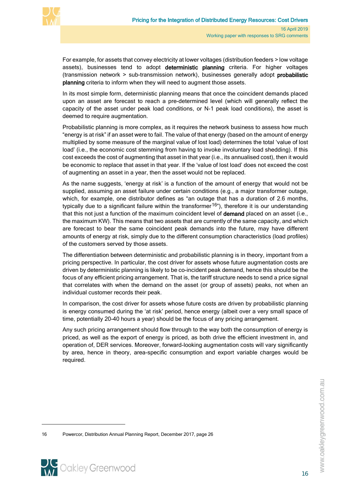

For example, for assets that convey electricity at lower voltages (distribution feeders > low voltage assets), businesses tend to adopt deterministic planning criteria. For higher voltages (transmission network > sub-transmission network), businesses generally adopt probabilistic planning criteria to inform when they will need to augment those assets.

In its most simple form, deterministic planning means that once the coincident demands placed upon an asset are forecast to reach a pre-determined level (which will generally reflect the capacity of the asset under peak load conditions, or N-1 peak load conditions), the asset is deemed to require augmentation.

Probabilistic planning is more complex, as it requires the network business to assess how much "energy is at risk" if an asset were to fail. The value of that energy (based on the amount of energy multiplied by some measure of the marginal value of lost load) determines the total 'value of lost load' (i.e., the economic cost stemming from having to invoke involuntary load shedding). If this cost exceeds the cost of augmenting that asset in that year (i.e., its annualised cost), then it would be economic to replace that asset in that year. If the 'value of lost load' does not exceed the cost of augmenting an asset in a year, then the asset would not be replaced.

As the name suggests, 'energy at risk' is a function of the amount of energy that would not be supplied, assuming an asset failure under certain conditions (e.g., a major transformer outage, which, for example, one distributor defines as "an outage that has a duration of 2.6 months, typically due to a significant failure within the transformer<sup>[16](#page-19-0)"</sup>), therefore it is our understanding that this not just a function of the maximum coincident level of **demand** placed on an asset (i.e., the maximum KW). This means that two assets that are currently of the same capacity, and which are forecast to bear the same coincident peak demands into the future, may have different amounts of energy at risk, simply due to the different consumption characteristics (load profiles) of the customers served by those assets.

The differentiation between deterministic and probabilistic planning is in theory, important from a pricing perspective. In particular, the cost driver for assets whose future augmentation costs are driven by deterministic planning is likely to be co-incident peak demand, hence this should be the focus of any efficient pricing arrangement. That is, the tariff structure needs to send a price signal that correlates with when the demand on the asset (or group of assets) peaks, not when an individual customer records their peak.

In comparison, the cost driver for assets whose future costs are driven by probabilistic planning is energy consumed during the 'at risk' period, hence energy (albeit over a very small space of time, potentially 20-40 hours a year) should be the focus of any pricing arrangement.

Any such pricing arrangement should flow through to the way both the consumption of energy is priced, as well as the export of energy is priced, as both drive the efficient investment in, and operation of, DER services. Moreover, forward-looking augmentation costs will vary significantly by area, hence in theory, area-specific consumption and export variable charges would be required.

<span id="page-19-0"></span><sup>16</sup> Powercor, Distribution Annual Planning Report, December 2017, page 26

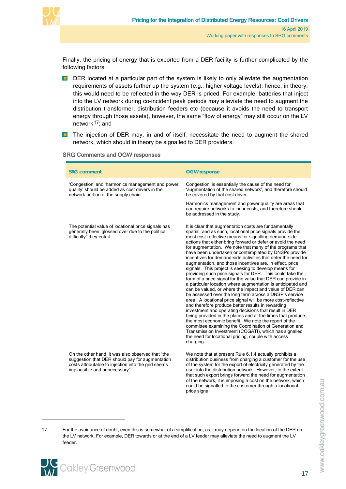

Finally, the pricing of energy that is exported from a DER facility is further complicated by the following factors:

- DER located at a particular part of the system is likely to only alleviate the augmentation requirements of assets further up the system (e.g., higher voltage levels), hence, in theory, this would need to be reflected in the way DER is priced. For example, batteries that inject into the LV network during co-incident peak periods may alleviate the need to augment the distribution transformer, distribution feeders etc (because it avoids the need to transport energy through those assets), however, the same "flow of energy" may still occur on the LV network<sup>[17](#page-20-0)</sup>; and
- **The injection of DER may, in and of itself, necessitate the need to augment the shared** network, which should in theory be signalled to DER providers.

| <b>SRG Comments and OGW responses</b> |  |  |  |
|---------------------------------------|--|--|--|
|---------------------------------------|--|--|--|

| <b>SRG comment</b>                                                                                                                                                                           | <b>OGW</b> response                                                                                                                                                                                                                                                                                                                                                                                                                                                                                                                                                                                                                                                                                                                                                                                                                                                                                                                                                                                                                                                                                                                                                                                                                                                                                                                                                 |
|----------------------------------------------------------------------------------------------------------------------------------------------------------------------------------------------|---------------------------------------------------------------------------------------------------------------------------------------------------------------------------------------------------------------------------------------------------------------------------------------------------------------------------------------------------------------------------------------------------------------------------------------------------------------------------------------------------------------------------------------------------------------------------------------------------------------------------------------------------------------------------------------------------------------------------------------------------------------------------------------------------------------------------------------------------------------------------------------------------------------------------------------------------------------------------------------------------------------------------------------------------------------------------------------------------------------------------------------------------------------------------------------------------------------------------------------------------------------------------------------------------------------------------------------------------------------------|
| 'Congestion' and 'harmonics management and power<br>quality' should be added as cost drivers in the<br>network portion of the supply chain.                                                  | Congestion' is essentially the cause of the need for<br>'augmentation of the shared network', and therefore should<br>be covered by that cost driver.                                                                                                                                                                                                                                                                                                                                                                                                                                                                                                                                                                                                                                                                                                                                                                                                                                                                                                                                                                                                                                                                                                                                                                                                               |
|                                                                                                                                                                                              | Harmonics management and power quality are areas that<br>can require networks to incur costs, and therefore should<br>be addressed in the study.                                                                                                                                                                                                                                                                                                                                                                                                                                                                                                                                                                                                                                                                                                                                                                                                                                                                                                                                                                                                                                                                                                                                                                                                                    |
| The potential value of locational price signals has<br>generally been 'glossed over due to the political<br>difficulty" they entail.                                                         | It is clear that augmentation costs are fundamentally<br>spatial, and as such, locational price signals provide the<br>most cost-reflective means for signalling demand-side<br>actions that either bring forward or defer or avoid the need<br>for augmentation. We note that many of the programs that<br>have been undertaken or contemplated by DNSPs provide<br>incentives for demand-side activities that defer the need for<br>augmentation, and those incentives are, in effect, price<br>signals. This project is seeking to develop means for<br>providing such price signals for DER. This could take the<br>form of a price signal for the value that DER can provide in<br>a particular location where augmentation is anticipated and<br>can be valued, or where the impact and value of DER can<br>be assessed over the long term across a DNSP's service<br>area. A locational price signal will be more cost-reflective<br>and therefore produce better results in rewarding<br>investment and operating decisions that result in DER<br>being provided in the places and at the times that produce<br>the most economic benefit. We note the report of the<br>committee examining the Coordination of Generation and<br>Transmission Investment (COGATI), which has signalled<br>the need for locational pricing, couple with access<br>charging. |
| On the other hand, it was also observed that "the<br>suggestion that DER should pay for augmentation<br>costs attributable to injection into the grid seems<br>implausible and unnecessary". | We note that at present Rule 6.1.4 actually prohibits a<br>distribution business from charging a customer for the use<br>of the system for the export of electricity generated by the<br>user into the distribution network. However, to the extent<br>that such export brings forward the need for augmentation<br>of the network, it is imposing a cost on the network, which<br>could be signalled to the customer through a locational                                                                                                                                                                                                                                                                                                                                                                                                                                                                                                                                                                                                                                                                                                                                                                                                                                                                                                                          |

 $\overline{a}$ 

<span id="page-20-0"></span>17 For the avoidance of doubt, even this is somewhat of a simplification, as it may depend on the location of the DER on the LV network. For example, DER towards or at the end of a LV feeder may alleviate the need to augment the LV feeder.

price signal.

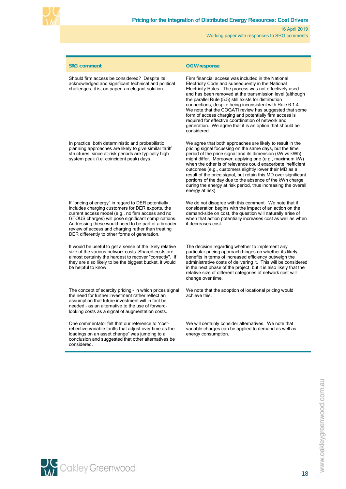

| Should firm access be considered? Despite its<br>Firm financial access was included in the National<br>acknowledged and significant technical and political<br>Electricity Code and subsequently in the National<br>challenges, it is, on paper, an elegant solution.<br>Electricity Rules. The process was not effectively used<br>and has been removed at the transmission level (although                                                                                                                                                                                                                                                                                                                                                                                                              |  |
|-----------------------------------------------------------------------------------------------------------------------------------------------------------------------------------------------------------------------------------------------------------------------------------------------------------------------------------------------------------------------------------------------------------------------------------------------------------------------------------------------------------------------------------------------------------------------------------------------------------------------------------------------------------------------------------------------------------------------------------------------------------------------------------------------------------|--|
| the parallel Rule (5.5) still exists for distribution<br>connections, despite being inconsistent with Rule 6.1.4.<br>We note that the COGATI review has suggested that some<br>form of access charging and potentially firm access is<br>required for effective coordination of network and<br>generation. We agree that it is an option that should be<br>considered.                                                                                                                                                                                                                                                                                                                                                                                                                                    |  |
| In practice, both deterministic and probabilistic<br>We agree that both approaches are likely to result in the<br>pricing signal focussing on the same days, but the time<br>planning approaches are likely to give similar tariff<br>structures, since at-risk periods are typically high<br>period of the price signal and its dimension (kW vs kWh)<br>system peak (i.e. coincident peak) days.<br>might differ. Moreover, applying one (e.g., maximum kW)<br>when the other is of relevance could exacerbate inefficient<br>outcomes (e.g., customers slightly lower their MD as a<br>result of the price signal, but retain this MD over significant<br>portions of the day due to the absence of the kWh charge<br>during the energy at risk period, thus increasing the overall<br>energy at risk) |  |
| If "pricing of energy" in regard to DER potentially<br>We do not disagree with this comment. We note that if<br>includes charging customers for DER exports, the<br>consideration begins with the impact of an action on the<br>current access model (e.g., no firm access and no<br>demand-side on cost, the question will naturally arise of<br>GTOUS charges) will pose significant complications.<br>when that action potentially increases cost as well as when<br>Addressing these would need to be part of a broader<br>it decreases cost.<br>review of access and charging rather than treating<br>DER differently to other forms of generation.                                                                                                                                                  |  |
| It would be useful to get a sense of the likely relative<br>The decision regarding whether to implement any<br>size of the various network costs. Shared costs are<br>particular pricing approach hinges on whether its likely<br>benefits in terms of increased efficiency outweigh the<br>almost certainty the hardest to recover "correctly". If<br>they are also likely to be the biggest bucket, it would<br>administrative costs of delivering it. This will be considered<br>be helpful to know.<br>in the next phase of the project, but it is also likely that the<br>relative size of different categories of network cost will<br>change over time.                                                                                                                                            |  |
| The concept of scarcity pricing - in which prices signal<br>We note that the adoption of locational pricing would<br>the need for further investment rather reflect an<br>achieve this.<br>assumption that future investment will in fact be<br>needed - as an alternative to the use of forward-<br>looking costs as a signal of augmentation costs.                                                                                                                                                                                                                                                                                                                                                                                                                                                     |  |
| One commentator felt that our reference to "cost-<br>We will certainly consider alternatives. We note that<br>reflective variable tariffs that adjust over time as the<br>variable charges can be applied to demand as well as<br>loadings on an asset change" was jumping to a<br>energy consumption.<br>conclusion and suggested that other alternatives be<br>considered.                                                                                                                                                                                                                                                                                                                                                                                                                              |  |



www.oakleygreenwood.com.au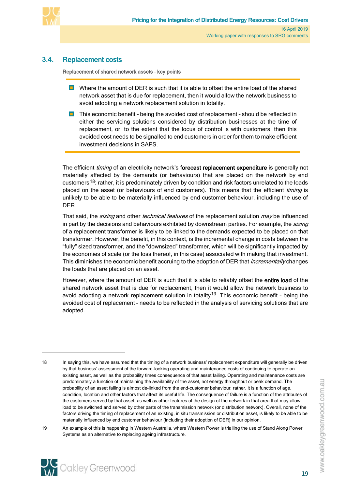

# 3.4. Replacement costs

<span id="page-22-0"></span>Replacement of shared network assets – key points

- **D** Where the amount of DER is such that it is able to offset the entire load of the shared network asset that is due for replacement, then it would allow the network business to avoid adopting a network replacement solution in totality.
- $\blacksquare$  This economic benefit being the avoided cost of replacement should be reflected in either the servicing solutions considered by distribution businesses at the time of replacement, or, to the extent that the locus of control is with customers, then this avoided cost needs to be signalled to end customers in order for them to make efficient investment decisions in SAPS.

The efficient *timing* of an electricity network's forecast replacement expenditure is generally not materially affected by the demands (or behaviours) that are placed on the network by end customers<sup>[18](#page-22-1)</sup>: rather, it is predominately driven by condition and risk factors unrelated to the loads placed on the asset (or behaviours of end customers). This means that the efficient timing is unlikely to be able to be materially influenced by end customer behaviour, including the use of DER.

That said, the *sizing* and other *technical features* of the replacement solution *may* be influenced in part by the decisions and behaviours exhibited by downstream parties. For example, the sizing of a replacement transformer is likely to be linked to the demands expected to be placed on that transformer. However, the benefit, in this context, is the incremental change in costs between the "fully" sized transformer, and the "downsized" transformer, which will be significantly impacted by the economies of scale (or the loss thereof, in this case) associated with making that investment. This diminishes the economic benefit accruing to the adoption of DER that *incrementally* changes the loads that are placed on an asset.

However, where the amount of DER is such that it is able to reliably offset the entire load of the shared network asset that is due for replacement, then it would allow the network business to avoid adopting a network replacement solution in totality<sup>[19](#page-22-2)</sup>. This economic benefit - being the avoided cost of replacement – needs to be reflected in the analysis of servicing solutions that are adopted.

<span id="page-22-2"></span><sup>19</sup> An example of this is happening in Western Australia, where Western Power is trialling the use of Stand Along Power Systems as an alternative to replacing ageing infrastructure.



-

<span id="page-22-1"></span><sup>18</sup> In saying this, we have assumed that the timing of a network business' replacement expenditure will generally be driven by that business' assessment of the forward-looking operating and maintenance costs of continuing to operate an existing asset, as well as the probability times consequence of that asset failing. Operating and maintenance costs are predominately a function of maintaining the availability of the asset, not energy throughput or peak demand. The probability of an asset failing is almost de-linked from the end-customer behaviour, rather, it is a function of age, condition, location and other factors that affect its useful life. The consequence of failure is a function of the attributes of the customers served by that asset, as well as other features of the design of the network in that area that may allow load to be switched and served by other parts of the transmission network (or distribution network). Overall, none of the factors driving the timing of replacement of an existing, in situ transmission or distribution asset, is likely to be able to be materially influenced by end customer behaviour (including their adoption of DER) in our opinion.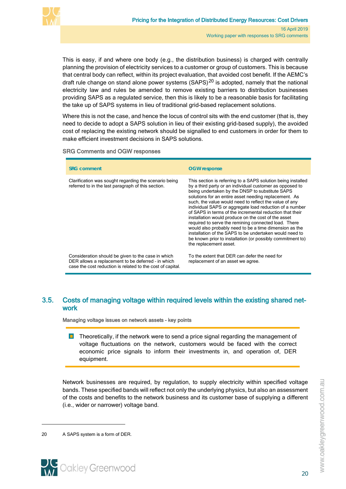

This is easy, if and where one body (e.g., the distribution business) is charged with centrally planning the provision of electricity services to a customer or group of customers. This is because that central body can reflect, within its project evaluation, that avoided cost benefit. If the AEMC's draft rule change on stand alone power systems  $(SAPS)^{20}$  $(SAPS)^{20}$  $(SAPS)^{20}$  is adopted, namely that the national electricity law and rules be amended to remove existing barriers to distribution businesses providing SAPS as a regulated service, then this is likely to be a reasonable basis for facilitating the take up of SAPS systems in lieu of traditional grid-based replacement solutions.

Where this is not the case, and hence the locus of control sits with the end customer (that is, they need to decide to adopt a SAPS solution in lieu of their existing grid-based supply), the avoided cost of replacing the existing network should be signalled to end customers in order for them to make efficient investment decisions in SAPS solutions.

#### SRG Comments and OGW responses

| <b>SRG</b> comment                                                                                                                                                     | <b>OGW</b> response                                                                                                                                                                                                                                                                                                                                                                                                                                                                                                                                                                                                                                                                                                                               |
|------------------------------------------------------------------------------------------------------------------------------------------------------------------------|---------------------------------------------------------------------------------------------------------------------------------------------------------------------------------------------------------------------------------------------------------------------------------------------------------------------------------------------------------------------------------------------------------------------------------------------------------------------------------------------------------------------------------------------------------------------------------------------------------------------------------------------------------------------------------------------------------------------------------------------------|
| Clarification was sought regarding the scenario being<br>referred to in the last paragraph of this section.                                                            | This section is referring to a SAPS solution being installed<br>by a third party or an individual customer as opposed to<br>being undertaken by the DNSP to substitute SAPS<br>solutions for an entire asset needing replacement. As<br>such, the value would need to reflect the value of any<br>individual SAPS or aggregate load reduction of a number<br>of SAPS in terms of the incremental reduction that their<br>installation would produce on the cost of the asset<br>required to serve the remining connected load. There<br>would also probably need to be a time dimension as the<br>installation of the SAPS to be undertaken would need to<br>be known prior to installation (or possibly commitment to)<br>the replacement asset. |
| Consideration should be given to the case in which<br>DER allows a replacement to be deferred - in which<br>case the cost reduction is related to the cost of capital. | To the extent that DER can defer the need for<br>replacement of an asset we agree.                                                                                                                                                                                                                                                                                                                                                                                                                                                                                                                                                                                                                                                                |

## <span id="page-23-0"></span>3.5. Costs of managing voltage within required levels within the existing shared network

Managing voltage issues on network assets – key points

 $\blacksquare$  Theoretically, if the network were to send a price signal regarding the management of voltage fluctuations on the network, customers would be faced with the correct economic price signals to inform their investments in, and operation of, DER equipment.

Network businesses are required, by regulation, to supply electricity within specified voltage bands. These specified bands will reflect not only the underlying physics, but also an assessment of the costs and benefits to the network business and its customer base of supplying a different (i.e., wider or narrower) voltage band.



<span id="page-23-1"></span><sup>20</sup> A SAPS system is a form of DER.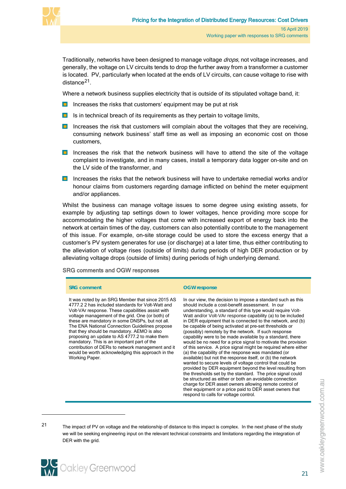

Traditionally, networks have been designed to manage voltage drops, not voltage increases, and generally, the voltage on LV circuits tends to drop the further away from a transformer a customer is located. PV, particularly when located at the ends of LV circuits, can cause voltage to rise with distance<sup>[21](#page-24-0)</sup>.

Where a network business supplies electricity that is outside of its stipulated voltage band, it:

- Increases the risks that customers' equipment may be put at risk
- $\blacksquare$  Is in technical breach of its requirements as they pertain to voltage limits,
- **In** Increases the risk that customers will complain about the voltages that they are receiving, consuming network business' staff time as well as imposing an economic cost on those customers,
- **In** Increases the risk that the network business will have to attend the site of the voltage complaint to investigate, and in many cases, install a temporary data logger on-site and on the LV side of the transformer, and
- **Increases the risks that the network business will have to undertake remedial works and/or** honour claims from customers regarding damage inflicted on behind the meter equipment and/or appliances.

Whilst the business can manage voltage issues to some degree using existing assets, for example by adjusting tap settings down to lower voltages, hence providing more scope for accommodating the higher voltages that come with increased export of energy back into the network at certain times of the day, customers can also potentially contribute to the management of this issue. For example, on-site storage could be used to store the excess energy that a customer's PV system generates for use (or discharge) at a later time, thus either contributing to the alleviation of voltage rises (outside of limits) during periods of high DER production or by alleviating voltage drops (outside of limits) during periods of high underlying demand.

#### SRG comments and OGW responses

#### **SRG comment COM OGW response**

It was noted by an SRG Member that since 2015 AS 4777.2 2 has included standards for Volt-Watt and Volt-VAr response. These capabilities assist with voltage management of the grid. One (or both) of these are mandatory in some DNSPs, but not all. The ENA National Connection Guidelines propose that they should be mandatory. AEMO is also proposing an update to AS 4777.2 to make them mandatory. This is an important part of the contribution of DERs to network management and it would be worth acknowledging this approach in the Working Paper.

In our view, the decision to impose a standard such as this should include a cost-benefit assessment. In our understanding, a standard of this type would require Volt-Watt and/or Volt-VAr response capability (a) to be included in DER equipment that is connected to the network, and (b) be capable of being activated at pre-set thresholds or (possibly) remotely by the network. If such response capability were to be made available by a standard, there would be no need for a price signal to motivate the provision of this service. A price signal might be required where either (a) the capability of the response was mandated (or available) but not the response itself, or (b) the network wanted to secure levels of voltage control that could be provided by DER equipment beyond the level resulting from the thresholds set by the standard. The price signal could be structured as either or both an avoidable connection charge for DER asset owners allowing remote control of their equipment or a price paid to DER asset owners that respond to calls for voltage control.

<span id="page-24-0"></span><sup>21</sup> The impact of PV on voltage and the relationship of distance to this impact is complex. In the next phase of the study we will be seeking engineering input on the relevant technical constraints and limitations regarding the integration of DER with the grid.

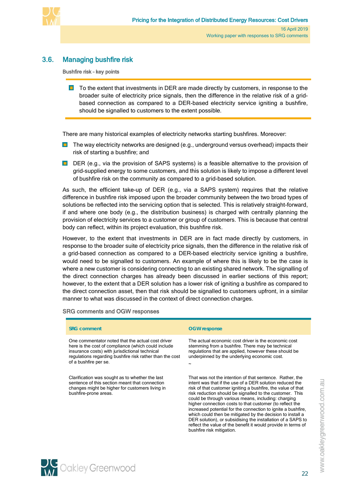

# 3.6. Managing bushfire risk

<span id="page-25-0"></span>Bushfire risk – key points

**T** To the extent that investments in DER are made directly by customers, in response to the broader suite of electricity price signals, then the difference in the relative risk of a gridbased connection as compared to a DER-based electricity service igniting a bushfire, should be signalled to customers to the extent possible.

There are many historical examples of electricity networks starting bushfires. Moreover:

- **The way electricity networks are designed (e.g., underground versus overhead) impacts their** risk of starting a bushfire; and
- DER (e.g., via the provision of SAPS systems) is a feasible alternative to the provision of grid-supplied energy to some customers, and this solution is likely to impose a different level of bushfire risk on the community as compared to a grid-based solution.

As such, the efficient take-up of DER (e.g., via a SAPS system) requires that the relative difference in bushfire risk imposed upon the broader community between the two broad types of solutions be reflected into the servicing option that is selected. This is relatively straight-forward, if and where one body (e.g., the distribution business) is charged with centrally planning the provision of electricity services to a customer or group of customers. This is because that central body can reflect, within its project evaluation, this bushfire risk.

However, to the extent that investments in DER are in fact made directly by customers, in response to the broader suite of electricity price signals, then the difference in the relative risk of a grid-based connection as compared to a DER-based electricity service igniting a bushfire, would need to be signalled to customers. An example of where this is likely to be the case is where a new customer is considering connecting to an existing shared network. The signalling of the direct connection charges has already been discussed in earlier sections of this report; however, to the extent that a DER solution has a lower risk of igniting a bushfire as compared to the direct connection asset, then that risk should be signalled to customers upfront, in a similar manner to what was discussed in the context of direct connection charges.

#### SRG comments and OGW responses

| <b>SRG comment</b>                                                                                                                                                                                                                              | <b>OGW</b> response                                                                                                                                                                                                                                                                                                                                                                                                                                                                                                                                                                                                                                            |
|-------------------------------------------------------------------------------------------------------------------------------------------------------------------------------------------------------------------------------------------------|----------------------------------------------------------------------------------------------------------------------------------------------------------------------------------------------------------------------------------------------------------------------------------------------------------------------------------------------------------------------------------------------------------------------------------------------------------------------------------------------------------------------------------------------------------------------------------------------------------------------------------------------------------------|
| One commentator noted that the actual cost driver<br>here is the cost of compliance (which could include<br>insurance costs) with jurisdictional technical<br>regulations regarding bushfire risk rather than the cost<br>of a bushfire per se. | The actual economic cost driver is the economic cost<br>stemming from a bushfire. There may be technical<br>regulations that are applied, however these should be<br>underpinned by the underlying economic cost.                                                                                                                                                                                                                                                                                                                                                                                                                                              |
| Clarification was sought as to whether the last<br>sentence of this section meant that connection<br>changes might be higher for customers living in<br>bushfire-prone areas.                                                                   | That was not the intention of that sentence. Rather, the<br>intent was that if the use of a DER solution reduced the<br>risk of that customer igniting a bushfire, the value of that<br>risk reduction should be signalled to the customer. This<br>could be through various means, including: charging<br>higher connection costs to that customer (to reflect the<br>increased potential for the connection to ignite a bushfire.<br>which could then be mitigated by the decision to install a<br>DER solution), or subsidising the installation of a SAPS to<br>reflect the value of the benefit it would provide in terms of<br>bushfire risk mitigation. |

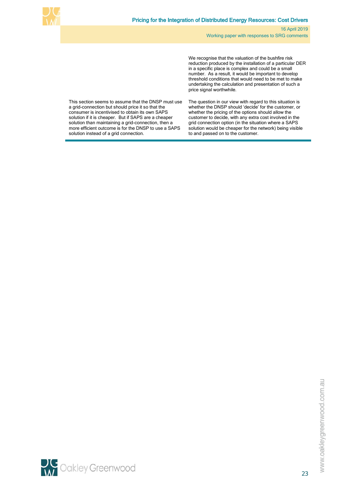

We recognise that the valuation of the bushfire risk reduction produced by the installation of a particular DER in a specific place is complex and could be a small number. As a result, it would be important to develop threshold conditions that would need to be met to make undertaking the calculation and presentation of such a price signal worthwhile.

This section seems to assume that the DNSP must use a grid-connection but should price it so that the consumer is incentivised to obtain its own SAPS solution if it is cheaper. But if SAPS are a cheaper solution than maintaining a grid-connection, then a more efficient outcome is for the DNSP to use a SAPS solution instead of a grid connection.

The question in our view with regard to this situation is whether the DNSP should 'decide' for the customer, or whether the pricing of the options should allow the customer to decide, with any extra cost involved in the grid connection option (in the situation where a SAPS solution would be cheaper for the network) being visible to and passed on to the customer.

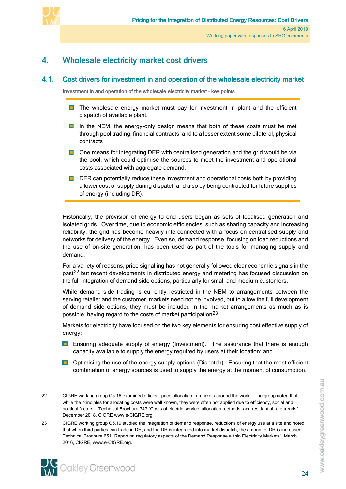

# <span id="page-27-0"></span>4. Wholesale electricity market cost drivers

# 4.1. Cost drivers for investment in and operation of the wholesale electricity market

<span id="page-27-1"></span>Investment in and operation of the wholesale electricity market – key points

- **The wholesale energy market must pay for investment in plant and the efficient** dispatch of available plant.
- **In** the NEM, the energy-only design means that both of these costs must be met through pool trading, financial contracts, and to a lesser extent some bilateral, physical contracts
- **D** One means for integrating DER with centralised generation and the grid would be via the pool, which could optimise the sources to meet the investment and operational costs associated with aggregate demand.
- **DER** can potentially reduce these investment and operational costs both by providing a lower cost of supply during dispatch and also by being contracted for future supplies of energy (including DR).

Historically, the provision of energy to end users began as sets of localised generation and isolated grids. Over time, due to economic efficiencies, such as sharing capacity and increasing reliability, the grid has become heavily interconnected with a focus on centralised supply and networks for delivery of the energy. Even so, demand response, focusing on load reductions and the use of on-site generation, has been used as part of the tools for managing supply and demand.

For a variety of reasons, price signalling has not generally followed clear economic signals in the past<sup>[22](#page-27-2)</sup> but recent developments in distributed energy and metering has focused discussion on the full integration of demand side options, particularly for small and medium customers.

While demand side trading is currently restricted in the NEM to arrangements between the serving retailer and the customer, markets need not be involved, but to allow the full development of demand side options, they must be included in the market arrangements as much as is possible, having regard to the costs of market participation<sup>[23](#page-27-3)</sup>.

<span id="page-27-4"></span>Markets for electricity have focused on the two key elements for ensuring cost effective supply of energy:

- **Ensuring adequate supply of energy (Investment).** The assurance that there is enough capacity available to supply the energy required by users at their location; and
- **D** Optimising the use of the energy supply options (Dispatch). Ensuring that the most efficient combination of energy sources is used to supply the energy at the moment of consumption.

<span id="page-27-3"></span><sup>23</sup> CIGRE working group C5.19 studied the integration of demand response, reductions of energy use at a site and noted that when third parties can trade in DR, and the DR is integrated into market dispatch, the amount of DR is increased. Technical Brochure 651 "Report on regulatory aspects of the Demand Response within Electricity Markets", March 2016, CIGRE, www.e-CIGRE.org.



<span id="page-27-2"></span><sup>22</sup> CIGRE working group C5.16 examined efficient price allocation in markets around the world. The group noted that, while the principles for allocating costs were well known, they were often not applied due to efficiency, social and political factors. Technical Brochure 747 "Costs of electric service, allocation methods, and residential rate trends", December 2018, CIGRE www.e-CIGRE.org.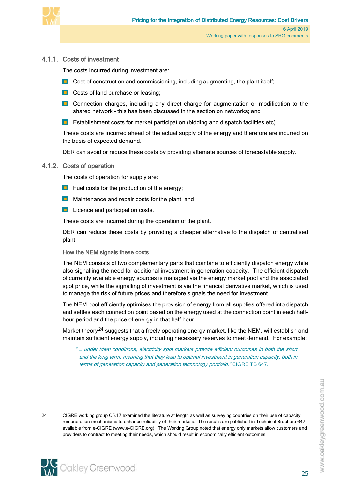

## 4.1.1. Costs of investment

<span id="page-28-0"></span>The costs incurred during investment are:

- $\Box$  Cost of construction and commissioning, including augmenting, the plant itself;
- **Costs of land purchase or leasing;**
- **Connection charges, including any direct charge for augmentation or modification to the** shared network – this has been discussed in the section on networks; and
- $\blacksquare$ Establishment costs for market participation (bidding and dispatch facilities etc).

These costs are incurred ahead of the actual supply of the energy and therefore are incurred on the basis of expected demand.

<span id="page-28-1"></span>DER can avoid or reduce these costs by providing alternate sources of forecastable supply.

#### 4.1.2. Costs of operation

The costs of operation for supply are:

- $\Box$  Fuel costs for the production of the energy;
- **Naintenance and repair costs for the plant; and**
- **Licence and participation costs.**

These costs are incurred during the operation of the plant.

DER can reduce these costs by providing a cheaper alternative to the dispatch of centralised plant.

#### How the NEM signals these costs

The NEM consists of two complementary parts that combine to efficiently dispatch energy while also signalling the need for additional investment in generation capacity. The efficient dispatch of currently available energy sources is managed via the energy market pool and the associated spot price, while the signalling of investment is via the financial derivative market, which is used to manage the risk of future prices and therefore signals the need for investment.

The NEM pool efficiently optimises the provision of energy from all supplies offered into dispatch and settles each connection point based on the energy used at the connection point in each halfhour period and the price of energy in that half hour.

Market theory<sup>[24](#page-28-2)</sup> suggests that a freely operating energy market, like the NEM, will establish and maintain sufficient energy supply, including necessary reserves to meet demand. For example:

" … under ideal conditions, electricity spot markets provide efficient outcomes in both the short and the long term, meaning that they lead to optimal investment in generation capacity, both in terms of generation capacity and generation technology portfolio." CIGRE TB 647.

<span id="page-28-2"></span><sup>24</sup> CIGRE working group C5.17 examined the literature at length as well as surveying countries on their use of capacity remuneration mechanisms to enhance reliability of their markets. The results are published in Technical Brochure 647, available from e-CIGRE [\(www.e-CIGRE.org\)](http://www.e-cigre.org/). The Working Group noted that energy only markets allow customers and providers to contract to meeting their needs, which should result in economically efficient outcomes.

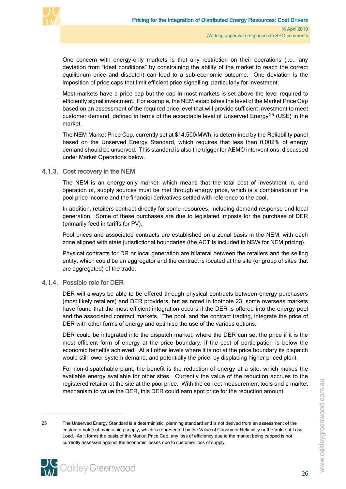

One concern with energy-only markets is that any restriction on their operations (i.e., any deviation from "ideal conditions" by constraining the ability of the market to reach the correct equilibrium price and dispatch) can lead to a sub-economic outcome. One deviation is the imposition of price caps that limit efficient price signalling, particularly for investment.

Most markets have a price cap but the cap in most markets is set above the level required to efficiently signal investment. For example, the NEM establishes the level of the Market Price Cap based on an assessment of the required price level that will provide sufficient investment to meet customer demand, defined in terms of the acceptable level of Unserved Energy<sup>[25](#page-29-2)</sup> (USE) in the market.

The NEM Market Price Cap, currently set at \$14,500/MWh, is determined by the Reliability panel based on the Unserved Energy Standard, which requires that less than 0.002% of energy demand should be unserved. This standard is also the trigger for AEMO interventions, discussed under Market Operations below.

### 4.1.3. Cost recovery in the NEM

<span id="page-29-0"></span>The NEM is an energy-only market, which means that the total cost of investment in, and operation of, supply sources must be met through energy price, which is a combination of the pool price income and the financial derivatives settled with reference to the pool.

In addition, retailers contract directly for some resources, including demand response and local generation. Some of these purchases are due to legislated imposts for the purchase of DER (primarily feed in tariffs for PV).

Pool prices and associated contracts are established on a zonal basis in the NEM, with each zone aligned with state jurisdictional boundaries (the ACT is included in NSW for NEM pricing).

Physical contracts for DR or local generation are bilateral between the retailers and the selling entity, which could be an aggregator and the contract is located at the site (or group of sites that are aggregated) of the trade.

#### 4.1.4. Possible role for DER

<span id="page-29-1"></span>DER will always be able to be offered through physical contracts between energy purchasers (most likely retailers) and DER providers, but as noted in footnote [23,](#page-27-4) some overseas markets have found that the most efficient integration occurs if the DER is offered into the energy pool and the associated contract markets. The pool, and the contract trading, integrate the price of DER with other forms of energy and optimise the use of the various options.

DER could be integrated into the dispatch market, where the DER can set the price if it is the most efficient form of energy at the price boundary, if the cost of participation is below the economic benefits achieved. At all other levels where it is not at the price boundary its dispatch would still lower system demand, and potentially the price, by displacing higher priced plant.

For non-dispatchable plant, the benefit is the reduction of energy at a site, which makes the available energy available for other sites. Currently the value of the reduction accrues to the registered retailer at the site at the pool price. With the correct measurement tools and a market mechanism to value the DER, this DER could earn spot price for the reduction amount.

<span id="page-29-2"></span><sup>25</sup> The Unserved Energy Standard is a deterministic, planning standard and is not derived from an assessment of the customer value of maintaining supply, which is represented by the Value of Consumer Reliability or the Value of Loss Load. As it forms the basis of the Market Price Cap, any loss of efficiency due to the market being capped is not currently assessed against the economic losses due to customer loss of supply.



 $\overline{a}$ 

www.oakleygreenwood.com.au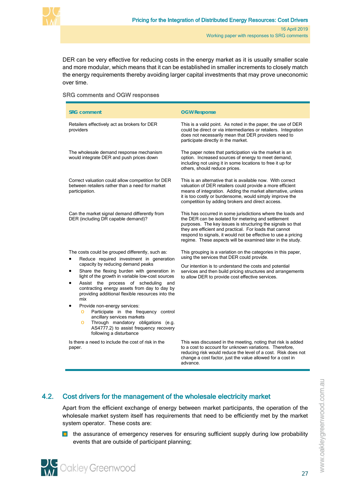

DER can be very effective for reducing costs in the energy market as it is usually smaller scale and more modular, which means that it can be established in smaller increments to closely match the energy requirements thereby avoiding larger capital investments that may prove uneconomic over time.

#### SRG comments and OGW responses

| <b>SRG comment</b>                                                                                                                                                                                                                                                                                                                                                                                                                                                                                                                                                                                                                                             | <b>OGW Response</b>                                                                                                                                                                                                                                                                                                                                                          |
|----------------------------------------------------------------------------------------------------------------------------------------------------------------------------------------------------------------------------------------------------------------------------------------------------------------------------------------------------------------------------------------------------------------------------------------------------------------------------------------------------------------------------------------------------------------------------------------------------------------------------------------------------------------|------------------------------------------------------------------------------------------------------------------------------------------------------------------------------------------------------------------------------------------------------------------------------------------------------------------------------------------------------------------------------|
| Retailers effectively act as brokers for DER<br>providers                                                                                                                                                                                                                                                                                                                                                                                                                                                                                                                                                                                                      | This is a valid point. As noted in the paper, the use of DER<br>could be direct or via intermediaries or retailers. Integration<br>does not necessarily mean that DER providers need to<br>participate directly in the market.                                                                                                                                               |
| The wholesale demand response mechanism<br>would integrate DER and push prices down                                                                                                                                                                                                                                                                                                                                                                                                                                                                                                                                                                            | The paper notes that participation via the market is an<br>option. Increased sources of energy to meet demand,<br>including not using it in some locations to free it up for<br>others, should reduce prices.                                                                                                                                                                |
| Correct valuation could allow competition for DER<br>between retailers rather than a need for market<br>participation.                                                                                                                                                                                                                                                                                                                                                                                                                                                                                                                                         | This is an alternative that is available now. With correct<br>valuation of DER retailers could provide a more efficient<br>means of integration. Adding the market alternative, unless<br>it is too costly or burdensome, would simply improve the<br>competition by adding brokers and direct access.                                                                       |
| Can the market signal demand differently from<br>DER (including DR capable demand)?                                                                                                                                                                                                                                                                                                                                                                                                                                                                                                                                                                            | This has occurred in some jurisdictions where the loads and<br>the DER can be isolated for metering and settlement<br>purposes. The key issues is structuring the signals so that<br>they are efficient and practical. For loads that cannot<br>respond to signals, it would not be effective to use a pricing<br>regime. These aspects will be examined later in the study. |
| The costs could be grouped differently, such as:<br>Reduce required investment in generation<br>capacity by reducing demand peaks<br>Share the flexing burden with generation in<br>٠<br>light of the growth in variable low-cost sources<br>Assist the process of scheduling and<br>$\bullet$<br>contracting energy assets from day to day by<br>providing additional flexible resources into the<br>mix<br>Provide non-energy services:<br>$\bullet$<br>Participate in the frequency control<br>$\circ$<br>ancillary services markets<br>Through mandatory obligations (e.g.<br>$\circ$<br>AS4777.2) to assist frequency recovery<br>following a disturbance | This grouping is a variation on the categories in this paper,<br>using the services that DER could provide.<br>Our intention is to understand the costs and potential<br>services and then build pricing structures and arrangements<br>to allow DER to provide cost effective services.                                                                                     |
| Is there a need to include the cost of risk in the<br>paper.                                                                                                                                                                                                                                                                                                                                                                                                                                                                                                                                                                                                   | This was discussed in the meeting, noting that risk is added<br>to a cost to account for unknown variations. Therefore,<br>reducing risk would reduce the level of a cost. Risk does not<br>change a cost factor, just the value allowed for a cost in<br>advance                                                                                                            |

# 4.2. Cost drivers for the management of the wholesale electricity market

<span id="page-30-0"></span>Apart from the efficient exchange of energy between market participants, the operation of the wholesale market system itself has requirements that need to be efficiently met by the market system operator. These costs are:

**the assurance of emergency reserves for ensuring sufficient supply during low probability** events that are outside of participant planning;

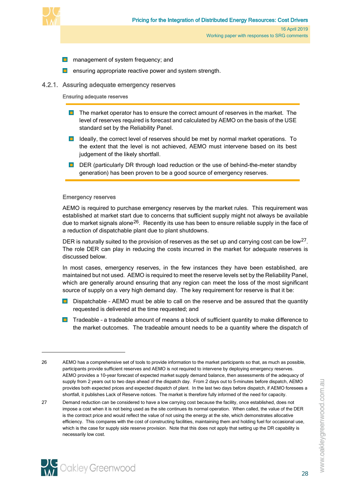

- **n** management of system frequency; and
- <span id="page-31-0"></span>ensuring appropriate reactive power and system strength.

### 4.2.1. Assuring adequate emergency reserves

#### Ensuring adequate reserves

- **The market operator has to ensure the correct amount of reserves in the market.** The level of reserves required is forecast and calculated by AEMO on the basis of the USE standard set by the Reliability Panel.
- **ID** Ideally, the correct level of reserves should be met by normal market operations. To the extent that the level is not achieved, AEMO must intervene based on its best judgement of the likely shortfall.
- **DER** (particularly DR through load reduction or the use of behind-the-meter standby generation) has been proven to be a good source of emergency reserves.

#### Emergency reserves

AEMO is required to purchase emergency reserves by the market rules. This requirement was established at market start due to concerns that sufficient supply might not always be available due to market signals alone<sup>26</sup>. Recently its use has been to ensure reliable supply in the face of a reduction of dispatchable plant due to plant shutdowns.

<span id="page-31-4"></span><span id="page-31-3"></span>DER is naturally suited to the provision of reserves as the set up and carrying cost can be low<sup>[27](#page-31-2)</sup>. The role DER can play in reducing the costs incurred in the market for adequate reserves is discussed below.

In most cases, emergency reserves, in the few instances they have been established, are maintained but not used. AEMO is required to meet the reserve levels set by the Reliability Panel, which are generally around ensuring that any region can meet the loss of the most significant source of supply on a very high demand day. The key requirement for reserve is that it be:

- **D** Dispatchable AEMO must be able to call on the reserve and be assured that the quantity requested is delivered at the time requested; and
- **T** Tradeable a tradeable amount of means a block of sufficient quantity to make difference to the market outcomes. The tradeable amount needs to be a quantity where the dispatch of

-

<span id="page-31-1"></span><sup>26</sup> AEMO has a comprehensive set of tools to provide information to the market participants so that, as much as possible, participants provide sufficient reserves and AEMO is not required to intervene by deploying emergency reserves. AEMO provides a 10-year forecast of expected market supply demand balance, then assessments of the adequacy of supply from 2 years out to two days ahead of the dispatch day. From 2 days out to 5-minutes before dispatch, AEMO provides both expected prices and expected dispatch of plant. In the last two days before dispatch, if AEMO foresees a shortfall, it publishes Lack of Reserve notices. The market is therefore fully informed of the need for capacity.

<span id="page-31-2"></span><sup>27</sup> Demand reduction can be considered to have a low carrying cost because the facility, once established, does not impose a cost when it is not being used as the site continues its normal operation. When called, the value of the DER is the contract price and would reflect the value of not using the energy at the site, which demonstrates allocative efficiency. This compares with the cost of constructing facilities, maintaining them and holding fuel for occasional use, which is the case for supply side reserve provision. Note that this does not apply that setting up the DR capability is necessarily low cost.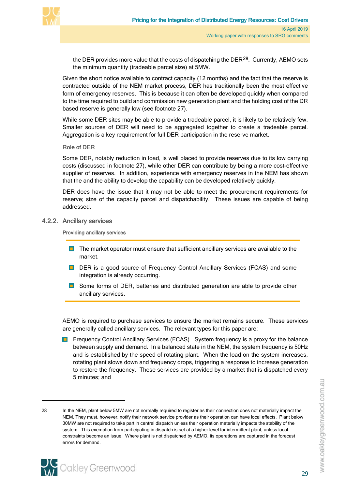

the DER provides more value that the costs of dispatching the DER $^{28}$  $^{28}$  $^{28}$ . Currently, AEMO sets the minimum quantity (tradeable parcel size) at 5MW.

Given the short notice available to contract capacity (12 months) and the fact that the reserve is contracted outside of the NEM market process, DER has traditionally been the most effective form of emergency reserves. This is because it can often be developed quickly when compared to the time required to build and commission new generation plant and the holding cost of the DR based reserve is generally low (see footnote [27\)](#page-31-3).

While some DER sites may be able to provide a tradeable parcel, it is likely to be relatively few. Smaller sources of DER will need to be aggregated together to create a tradeable parcel. Aggregation is a key requirement for full DER participation in the reserve market.

#### Role of DER

Some DER, notably reduction in load, is well placed to provide reserves due to its low carrying costs (discussed in footnote [27\)](#page-31-4), while other DER can contribute by being a more cost-effective supplier of reserves. In addition, experience with emergency reserves in the NEM has shown that the and the ability to develop the capability can be developed relatively quickly.

DER does have the issue that it may not be able to meet the procurement requirements for reserve; size of the capacity parcel and dispatchability. These issues are capable of being addressed.

#### 4.2.2. Ancillary services

<span id="page-32-0"></span>Providing ancillary services

- **The market operator must ensure that sufficient ancillary services are available to the** market.
- DER is a good source of Frequency Control Ancillary Services (FCAS) and some integration is already occurring.
- **D** Some forms of DER, batteries and distributed generation are able to provide other ancillary services.

AEMO is required to purchase services to ensure the market remains secure. These services are generally called ancillary services. The relevant types for this paper are:

**Figure 2** Frequency Control Ancillary Services (FCAS). System frequency is a proxy for the balance between supply and demand. In a balanced state in the NEM, the system frequency is 50Hz and is established by the speed of rotating plant. When the load on the system increases, rotating plant slows down and frequency drops, triggering a response to increase generation to restore the frequency. These services are provided by a market that is dispatched every 5 minutes; and

<span id="page-32-1"></span><sup>28</sup> In the NEM, plant below 5MW are not normally required to register as their connection does not materially impact the NEM. They must, however, notify their network service provider as their operation can have local effects. Plant below 30MW are not required to take part in central dispatch unless their operation materially impacts the stability of the system. This exemption from participating in dispatch is set at a higher level for intermittent plant, unless local constraints become an issue. Where plant is not dispatched by AEMO, its operations are captured in the forecast errors for demand.



 $\overline{a}$ 

www.oakleygreenwood.com.au

16 April 2019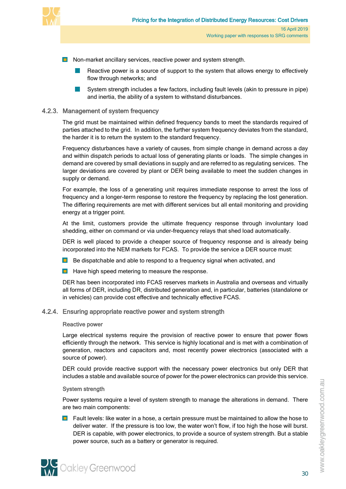

- **Non-market ancillary services, reactive power and system strength.** 
	- Reactive power is a source of support to the system that allows energy to effectively flow through networks; and
	- System strength includes a few factors, including fault levels (akin to pressure in pipe) and inertia, the ability of a system to withstand disturbances.

### 4.2.3. Management of system frequency

<span id="page-33-0"></span>The grid must be maintained within defined frequency bands to meet the standards required of parties attached to the grid. In addition, the further system frequency deviates from the standard, the harder it is to return the system to the standard frequency.

Frequency disturbances have a variety of causes, from simple change in demand across a day and within dispatch periods to actual loss of generating plants or loads. The simple changes in demand are covered by small deviations in supply and are referred to as regulating services. The larger deviations are covered by plant or DER being available to meet the sudden changes in supply or demand.

For example, the loss of a generating unit requires immediate response to arrest the loss of frequency and a longer-term response to restore the frequency by replacing the lost generation. The differing requirements are met with different services but all entail monitoring and providing energy at a trigger point.

At the limit, customers provide the ultimate frequency response through involuntary load shedding, either on command or via under-frequency relays that shed load automatically.

DER is well placed to provide a cheaper source of frequency response and is already being incorporated into the NEM markets for FCAS. To provide the service a DER source must:

- **Be dispatchable and able to respond to a frequency signal when activated, and**
- $\Box$  Have high speed metering to measure the response.

DER has been incorporated into FCAS reserves markets in Australia and overseas and virtually all forms of DER, including DR, distributed generation and, in particular, batteries (standalone or in vehicles) can provide cost effective and technically effective FCAS.

#### 4.2.4. Ensuring appropriate reactive power and system strength

#### <span id="page-33-1"></span>Reactive power

Large electrical systems require the provision of reactive power to ensure that power flows efficiently through the network. This service is highly locational and is met with a combination of generation, reactors and capacitors and, most recently power electronics (associated with a source of power).

DER could provide reactive support with the necessary power electronics but only DER that includes a stable and available source of power for the power electronics can provide this service.

#### System strength

Power systems require a level of system strength to manage the alterations in demand. There are two main components:

**Fault levels: like water in a hose, a certain pressure must be maintained to allow the hose to** deliver water. If the pressure is too low, the water won't flow, if too high the hose will burst. DER is capable, with power electronics, to provide a source of system strength. But a stable power source, such as a battery or generator is required.

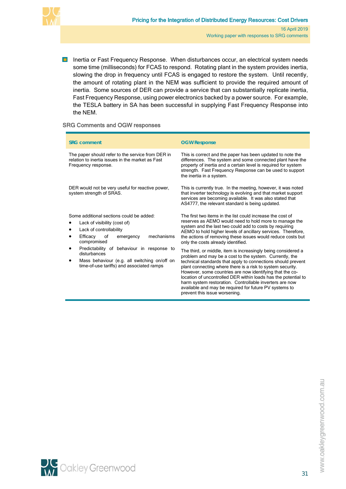

**Inertia or Fast Frequency Response. When disturbances occur, an electrical system needs** some time (milliseconds) for FCAS to respond. Rotating plant in the system provides inertia, slowing the drop in frequency until FCAS is engaged to restore the system. Until recently, the amount of rotating plant in the NEM was sufficient to provide the required amount of inertia. Some sources of DER can provide a service that can substantially replicate inertia, Fast Frequency Response, using power electronics backed by a power source. For example, the TESLA battery in SA has been successful in supplying Fast Frequency Response into the NEM.

#### SRG Comments and OGW responses

| <b>SRG comment</b>                                                                                                                                                                                                                                                                                                                        | <b>OGW Response</b>                                                                                                                                                                                                                                                                                                                                                                                                                                                                                                                                                                                                                                                                                                                                                                                                                                                                                |  |  |  |  |  |
|-------------------------------------------------------------------------------------------------------------------------------------------------------------------------------------------------------------------------------------------------------------------------------------------------------------------------------------------|----------------------------------------------------------------------------------------------------------------------------------------------------------------------------------------------------------------------------------------------------------------------------------------------------------------------------------------------------------------------------------------------------------------------------------------------------------------------------------------------------------------------------------------------------------------------------------------------------------------------------------------------------------------------------------------------------------------------------------------------------------------------------------------------------------------------------------------------------------------------------------------------------|--|--|--|--|--|
| The paper should refer to the service from DER in<br>relation to inertia issues in the market as Fast<br>Frequency response.                                                                                                                                                                                                              | This is correct and the paper has been updated to note the<br>differences. The system and some connected plant have the<br>property of inertia and a certain level is required for system<br>strength. Fast Frequency Response can be used to support<br>the inertia in a system.                                                                                                                                                                                                                                                                                                                                                                                                                                                                                                                                                                                                                  |  |  |  |  |  |
| DER would not be very useful for reactive power,<br>system strength of SRAS.                                                                                                                                                                                                                                                              | This is currently true. In the meeting, however, it was noted<br>that inverter technology is evolving and that market support<br>services are becoming available. It was also stated that<br>AS4777, the relevant standard is being updated.                                                                                                                                                                                                                                                                                                                                                                                                                                                                                                                                                                                                                                                       |  |  |  |  |  |
| Some additional sections could be added:<br>Lack of visibility (cost of)<br>Lack of controllability<br>٠<br>mechanisms<br>Efficacy<br>of<br>emergency<br>compromised<br>Predictability of behaviour in response to<br>٠<br>disturbances<br>Mass behaviour (e.g. all switching on/off on<br>٠<br>time-of-use tariffs) and associated ramps | The first two items in the list could increase the cost of<br>reserves as AEMO would need to hold more to manage the<br>system and the last two could add to costs by requiring<br>AEMO to hold higher levels of ancillary services. Therefore,<br>the actions of removing these issues would reduce costs but<br>only the costs already identified.<br>The third, or middle, item is increasingly being considered a<br>problem and may be a cost to the system. Currently, the<br>technical standards that apply to connections should prevent<br>plant connecting where there is a risk to system security.<br>However, some countries are now identifying that the co-<br>location of uncontrolled DER within loads has the potential to<br>harm system restoration. Controllable inverters are now<br>available and may be required for future PV systems to<br>prevent this issue worsening. |  |  |  |  |  |

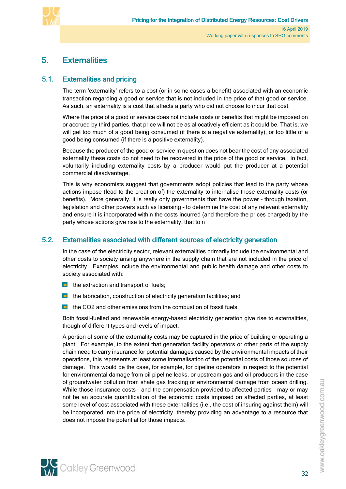

# <span id="page-35-0"></span>5. Externalities

# 5.1. Externalities and pricing

<span id="page-35-1"></span>The term 'externality' refers to a cost (or in some cases a benefit) associated with an economic transaction regarding a good or service that is not included in the price of that good or service. As such, an externality is a cost that affects a party who did not choose to incur that cost.

Where the price of a good or service does not include costs or benefits that might be imposed on or accrued by third parties, that price will not be as allocatively efficient as it could be. That is, we will get too much of a good being consumed (if there is a negative externality), or too little of a good being consumed (if there is a positive externality).

Because the producer of the good or service in question does not bear the cost of any associated externality these costs do not need to be recovered in the price of the good or service. In fact, voluntarily including externality costs by a producer would put the producer at a potential commercial disadvantage.

This is why economists suggest that governments adopt policies that lead to the party whose actions impose (lead to the creation of) the externality to internalise those externality costs (or benefits). More generally, it is really only governments that have the power – through taxation, legislation and other powers such as licensing – to determine the cost of any relevant externality and ensure it is incorporated within the costs incurred (and therefore the prices charged) by the party whose actions give rise to the externality. that to n

## 5.2. Externalities associated with different sources of electricity generation

<span id="page-35-2"></span>In the case of the electricity sector, relevant externalities primarily include the environmental and other costs to society arising anywhere in the supply chain that are not included in the price of electricity. Examples include the environmental and public health damage and other costs to society associated with:

- $\blacksquare$  the extraction and transport of fuels;
- $\Box$  the fabrication, construction of electricity generation facilities; and
- $\blacksquare$  the CO2 and other emissions from the combustion of fossil fuels.

Both fossil-fuelled and renewable energy-based electricity generation give rise to externalities, though of different types and levels of impact.

A portion of some of the externality costs may be captured in the price of building or operating a plant. For example, to the extent that generation facility operators or other parts of the supply chain need to carry insurance for potential damages caused by the environmental impacts of their operations, this represents at least some internalisation of the potential costs of those sources of damage. This would be the case, for example, for pipeline operators in respect to the potential for environmental damage from oil pipeline leaks, or upstream gas and oil producers in the case of groundwater pollution from shale gas fracking or environmental damage from ocean drilling. While those insurance costs – and the compensation provided to affected parties – may or may not be an accurate quantification of the economic costs imposed on affected parties, at least some level of cost associated with these externalities (i.e., the cost of insuring against them) will be incorporated into the price of electricity, thereby providing an advantage to a resource that does not impose the potential for those impacts.

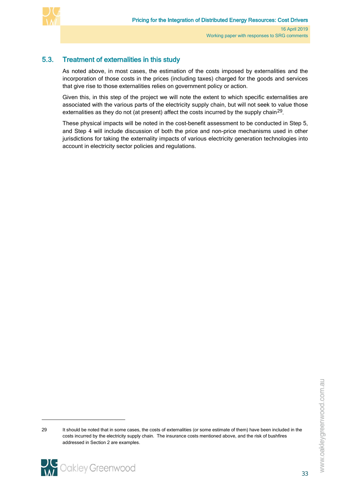

# 5.3. Treatment of externalities in this study

<span id="page-36-0"></span>As noted above, in most cases, the estimation of the costs imposed by externalities and the incorporation of those costs in the prices (including taxes) charged for the goods and services that give rise to those externalities relies on government policy or action.

Given this, in this step of the project we will note the extent to which specific externalities are associated with the various parts of the electricity supply chain, but will not seek to value those externalities as they do not (at present) affect the costs incurred by the supply chain<sup>[29](#page-36-1)</sup>.

These physical impacts will be noted in the cost-benefit assessment to be conducted in Step 5, and Step 4 will include discussion of both the price and non-price mechanisms used in other jurisdictions for taking the externality impacts of various electricity generation technologies into account in electricity sector policies and regulations.

<span id="page-36-1"></span><sup>29</sup> It should be noted that in some cases, the costs of externalities (or some estimate of them) have been included in the costs incurred by the electricity supply chain. The insurance costs mentioned above, and the risk of bushfires addressed in Section 2 are examples.

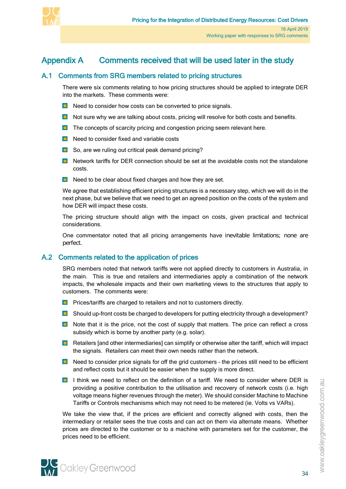

# Appendix A Comments received that will be used later in the study

# A.1 Comments from SRG members related to pricing structures

<span id="page-37-1"></span><span id="page-37-0"></span>There were six comments relating to how pricing structures should be applied to integrate DER into the markets. These comments were:

- $\Box$  Need to consider how costs can be converted to price signals.
- Not sure why we are talking about costs, pricing will resolve for both costs and benefits.
- **The concepts of scarcity pricing and congestion pricing seem relevant here.**
- $\blacksquare$  Need to consider fixed and variable costs
- So, are we ruling out critical peak demand pricing?
- **Network tariffs for DER connection should be set at the avoidable costs not the standalone** costs.
- $\blacksquare$  Need to be clear about fixed charges and how they are set.

We agree that establishing efficient pricing structures is a necessary step, which we will do in the next phase, but we believe that we need to get an agreed position on the costs of the system and how DER will impact these costs.

The pricing structure should align with the impact on costs, given practical and technical considerations.

One commentator noted that all pricing arrangements have inevitable limitations; none are perfect.

# <span id="page-37-2"></span>A.2 Comments related to the application of prices

SRG members noted that network tariffs were not applied directly to customers in Australia, in the main. This is true and retailers and intermediaries apply a combination of the network impacts, the wholesale impacts and their own marketing views to the structures that apply to customers. The comments were:

- **Prices/tariffs are charged to retailers and not to customers directly.**
- **D** Should up-front costs be charged to developers for putting electricity through a development?
- **Note that it is the price, not the cost of supply that matters. The price can reflect a cross** subsidy which is borne by another party (e.g. solar).
- $\Box$  Retailers [and other intermediaries] can simplify or otherwise alter the tariff, which will impact the signals. Retailers can meet their own needs rather than the network.
- **Need to consider price signals for off the grid customers the prices still need to be efficient** and reflect costs but it should be easier when the supply is more direct.
- **I** I think we need to reflect on the definition of a tariff. We need to consider where DER is providing a positive contribution to the utilisation and recovery of network costs (i.e. high voltage means higher revenues through the meter). We should consider Machine to Machine Tariffs or Controls mechanisms which may not need to be metered (ie. Volts vs VARs).

We take the view that, if the prices are efficient and correctly aligned with costs, then the intermediary or retailer sees the true costs and can act on them via alternate means. Whether prices are directed to the customer or to a machine with parameters set for the customer, the prices need to be efficient.

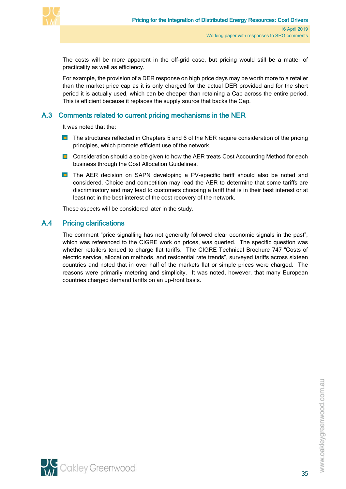

The costs will be more apparent in the off-grid case, but pricing would still be a matter of practicality as well as efficiency.

For example, the provision of a DER response on high price days may be worth more to a retailer than the market price cap as it is only charged for the actual DER provided and for the short period it is actually used, which can be cheaper than retaining a Cap across the entire period. This is efficient because it replaces the supply source that backs the Cap.

# <span id="page-38-0"></span>A.3 Comments related to current pricing mechanisms in the NER

It was noted that the:

- **The structures reflected in Chapters 5 and 6 of the NER require consideration of the pricing** principles, which promote efficient use of the network.
- **Consideration should also be given to how the AER treats Cost Accounting Method for each** business through the Cost Allocation Guidelines.
- **The AER decision on SAPN developing a PV-specific tariff should also be noted and** considered. Choice and competition may lead the AER to determine that some tariffs are discriminatory and may lead to customers choosing a tariff that is in their best interest or at least not in the best interest of the cost recovery of the network.

<span id="page-38-1"></span>These aspects will be considered later in the study.

## A.4 Pricing clarifications

The comment "price signalling has not generally followed clear economic signals in the past", which was referenced to the CIGRE work on prices, was queried. The specific question was whether retailers tended to charge flat tariffs. The CIGRE Technical Brochure 747 "Costs of electric service, allocation methods, and residential rate trends", surveyed tariffs across sixteen countries and noted that in over half of the markets flat or simple prices were charged. The reasons were primarily metering and simplicity. It was noted, however, that many European countries charged demand tariffs on an up-front basis.

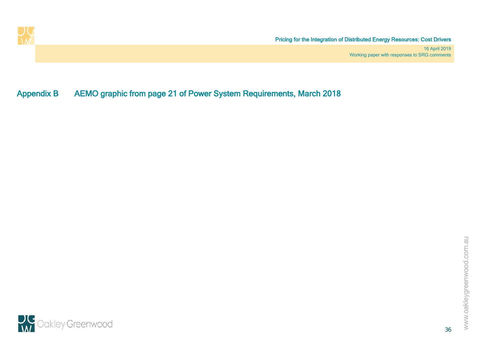

Appendix B AEMO graphic from page 21 of Power System Requirements, March 2018

<span id="page-39-0"></span>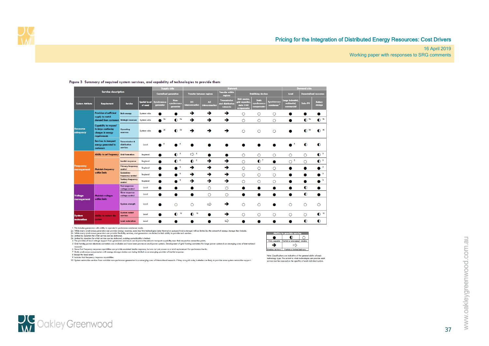#### Pricing for the Integration of Distributed Energy Resources: Cost Drivers

#### 16 April 2019 Working paper with responses to SRG comments

|                                |                                                                                                                                     |                                                       |                                 |                            | <b>Supply side</b>               |                             |                                | Network                                             |                                                               |                                             |                                              |                                                | Demand side         |                           |
|--------------------------------|-------------------------------------------------------------------------------------------------------------------------------------|-------------------------------------------------------|---------------------------------|----------------------------|----------------------------------|-----------------------------|--------------------------------|-----------------------------------------------------|---------------------------------------------------------------|---------------------------------------------|----------------------------------------------|------------------------------------------------|---------------------|---------------------------|
|                                | <b>Service description</b><br><b>Transfer within</b><br><b>Centralised generation</b><br><b>Transfer between regions</b><br>regions |                                                       |                                 | <b>Stabilising devices</b> |                                  | Load                        | <b>Decentralised resources</b> |                                                     |                                                               |                                             |                                              |                                                |                     |                           |
| <b>System Attribute</b>        | Requirement                                                                                                                         | Service                                               | <b>Spatial level</b><br>of need | Synchronous<br>generator   | Non-<br>synchronous<br>generator | <b>DC</b><br>nterconnection | AC.<br><b>interconnection</b>  | <b>Transmission</b><br>and distribution<br>networks | Grid reactor.<br>grid capacitor,<br>static VAR<br>compensator | <b>Static</b><br>synchronous<br>compensator | <b>Synchronous</b><br>condenser <sup>1</sup> | Large industrial<br>residential,<br>commercial | Solar PV            | <b>Battery</b><br>storage |
| <b>Provision of sufficient</b> |                                                                                                                                     | <b>Bulk energy</b>                                    | System wide                     |                            |                                  | →                           | →                              | →                                                   | $\circ$                                                       | O                                           | $\circ$                                      |                                                |                     |                           |
|                                | supply to match<br>demand from customers Strategic reserves                                                                         |                                                       | System wide                     | 2a                         | $\bullet$ 3a                     | →                           | →                              | →                                                   | $\circ$                                                       | $\circ$                                     | $\circ$                                      | O                                              | $\bullet$ 3b        | $\bullet$ <sup>3t</sup>   |
| Resource<br>adequacy           | <b>Capability to respond</b><br>to large continuing<br>changes in energy<br>requirements                                            | Operating<br>reserves                                 | System wide                     | 2 <sub>b</sub>             | 3a<br>$\bullet$                  | →                           | →                              | →                                                   | $\circ$                                                       | $\circ$                                     | $\circ$                                      |                                                | $\bullet$ $\bullet$ | $\bullet$ 3b              |
|                                | <b>Services to transport</b><br>energy generated to<br>customers                                                                    | <b>Transmission &amp;</b><br>distribution<br>services | Local                           |                            |                                  |                             |                                |                                                     |                                                               |                                             |                                              |                                                | $\bullet$           | $\bullet$                 |
|                                | Ability to set frequency Grid formation                                                                                             |                                                       | Regional                        |                            | $\bullet$ <sup>5</sup>           | $\Rightarrow$ 5             |                                | ۰                                                   | $\circ$                                                       | O                                           | $\circ$                                      | $\circ$                                        | O                   | $\bullet$ <sup>5</sup>    |
|                                |                                                                                                                                     | <b>Inertial response</b>                              | Regional                        |                            | $\bullet$                        | $\bullet$                   | →                              | →                                                   | $\circ$                                                       | $\mathbf{O}^7$                              | $\bullet$                                    | $\overline{\phantom{a}}$<br>$\circ$            | Ο                   | $\bullet$                 |
| <b>Frequency</b><br>management | <b>Maintain frequency</b>                                                                                                           | <b>Primary frequency</b><br>control                   | Regional                        |                            | $\overline{9}$                   | →                           | →                              | →                                                   | $\circ$                                                       | $\circ$                                     | $\circ$                                      |                                                |                     |                           |
|                                | within limits                                                                                                                       | Secondary<br>frequency control                        | Regional                        |                            | $\overline{9}$                   | →                           | →                              | →                                                   | $\circ$                                                       | $\circ$                                     | $\circ$                                      |                                                |                     |                           |
|                                |                                                                                                                                     | <b>Tertiary frequency</b><br>control                  | Regional                        |                            | $\overline{9}$                   | →                           | →                              | →                                                   | $\circ$                                                       | $\circ$                                     | $\circ$                                      |                                                |                     |                           |
|                                |                                                                                                                                     | <b>Fast response</b><br>voltage control               | Local                           |                            |                                  |                             | $\circ$                        | $\circ$                                             |                                                               |                                             |                                              |                                                | $\bullet$           |                           |
| Voltage                        | <b>Maintain voltages</b>                                                                                                            | <b>Slow response</b><br>voltage control               | Local                           | о                          |                                  | $\bullet$                   | $\circ$                        | $\circ$                                             | ●                                                             | ●                                           |                                              |                                                | $\bullet$           |                           |
| management                     | within limits                                                                                                                       | System strength                                       | Local                           |                            | $\circ$                          | $\circ$                     | $\Rightarrow$                  | →                                                   | $\bigcirc$                                                    | $\circ$                                     |                                              | $\circ$                                        | $\circ$             | $\circ$                   |
| <b>System</b>                  | Ability to restore the                                                                                                              | <b>System restart</b><br>services                     | Local                           |                            | $\bullet$ 10                     | 10<br>$\bullet$             |                                | →                                                   | $\circ$                                                       | $\circ$                                     | $\circ$                                      | $\circ$                                        | $\circ$             | $\bullet$ <sup>10</sup>   |
| restoration                    | system                                                                                                                              | <b>Load restoration</b>                               | Local                           |                            |                                  |                             |                                | ⇨                                                   |                                                               |                                             |                                              |                                                | $\bullet$           | $\bullet$                 |

#### Figure 3 Summary of required system services, and capability of technologies to provide them

1 This includes generators with ability to operate in syndronous condenser mode.<br>26. While many syndronous generators can provide energy reserves, some less film the dimensional syndronous pr<br>30. United by duration of what s vera tomma, power exectors converters are avaiable and have been proven on small power systems. Development of gna tomming converters for large<br>6 Same foat frequency response capabilities can provide emulated bertia resp

10 System restoration services from variable non-synchronous generators is an emerging area of international research. If they are grid scale, batteries are likely to provide some system restoration support.

| o provide service |                              |  |  |  |  |
|-------------------|------------------------------|--|--|--|--|
|                   |                              |  |  |  |  |
| Fully capable     | Partial or emerging   Unable |  |  |  |  |
|                   |                              |  |  |  |  |
| Enables delivery  | Partial or limited delivery  |  |  |  |  |

Note: Classifications are indicative of the general ability of each<br>technology type. The extent to which technologies can provide each<br>service must be assessed on the specifics of each individual system.